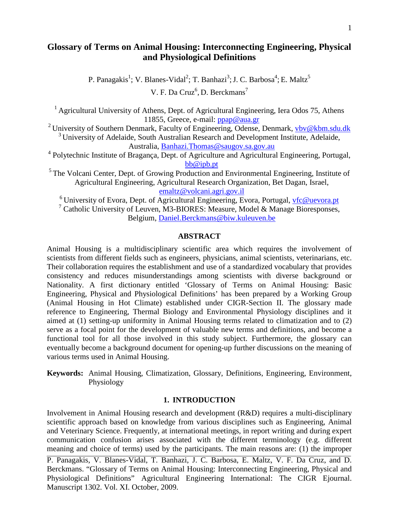# **Glossary of Terms on Animal Housing: Interconnecting Engineering, Physical and Physiological Definitions**

P. Panagakis<sup>1</sup>; V. Blanes-Vidal<sup>2</sup>; T. Banhazi<sup>3</sup>; J. C. Barbosa<sup>4</sup>; E. Maltz<sup>5</sup>

V. F. Da Cruz<sup>6</sup>, D. Berckmans<sup>7</sup>

<sup>1</sup> Agricultural University of Athens, Dept. of Agricultural Engineering, Iera Odos 75, Athens 11855, Greece, e-mail: [ppap@aua.gr](mailto:ppap@aua.gr)

<sup>2</sup> University of Southern Denmark, Faculty of Engineering, Odense, Denmark,  $v$ bv@kbm.sdu.dk  $3$  University of Adelaide, South Australian Research and Development Institute, Adelaide, Australia, [Banhazi.Thomas@saugov.sa.gov.au](mailto:Banhazi.Thomas@saugov.sa.gov.au)

<sup>4</sup> Polytechnic Institute of Bragança, Dept. of Agriculture and Agricultural Engineering, Portugal, [bb@ipb.pt](mailto:bb@ipb.pt)

<sup>5</sup> The Volcani Center, Dept. of Growing Production and Environmental Engineering, Institute of Agricultural Engineering, Agricultural Research Organization, Bet Dagan, Israel, [emaltz@volcani.agri.gov.il](mailto:emaltz@volcani.agri.gov.il)

 $6$  University of Evora, Dept. of Agricultural Engineering, Evora, Portugal, [vfc@uevora.pt](mailto:vfc@uevora.pt) <sup>7</sup> Catholic University of Leuven, M3-BIORES: Measure, Model & Manage Bioresponses, Belgium, [Daniel.Berckmans@biw.kuleuven.be](mailto:Daniel.Berckmans@biw.kuleuven.be)

#### **ABSTRACT**

Animal Housing is a multidisciplinary scientific area which requires the involvement of scientists from different fields such as engineers, physicians, animal scientists, veterinarians, etc. Their collaboration requires the establishment and use of a standardized vocabulary that provides consistency and reduces misunderstandings among scientists with diverse background or Nationality. A first dictionary entitled 'Glossary of Terms on Animal Housing: Basic Engineering, Physical and Physiological Definitions' has been prepared by a Working Group (Animal Housing in Hot Climate) established under CIGR-Section II. The glossary made reference to Engineering, Thermal Biology and Environmental Physiology disciplines and it aimed at (1) setting-up uniformity in Animal Housing terms related to climatization and to (2) serve as a focal point for the development of valuable new terms and definitions, and become a functional tool for all those involved in this study subject. Furthermore, the glossary can eventually become a background document for opening-up further discussions on the meaning of various terms used in Animal Housing.

**Keywords:** Animal Housing, Climatization, Glossary, Definitions, Engineering, Environment, Physiology

#### **1. INTRODUCTION**

Involvement in Animal Housing research and development (R&D) requires a multi-disciplinary scientific approach based on knowledge from various disciplines such as Engineering, Animal and Veterinary Science. Frequently, at international meetings, in report writing and during expert communication confusion arises associated with the different terminology (e.g. different meaning and choice of terms) used by the participants. The main reasons are: (1) the improper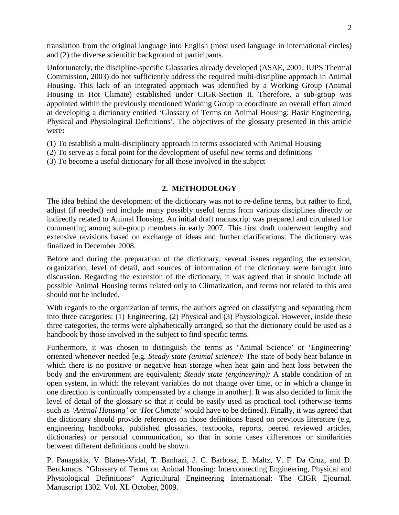translation from the original language into English (most used language in international circles) and (2) the diverse scientific background of participants.

Unfortunately, the discipline-specific Glossaries already developed (ASAE, 2001; IUPS Thermal Commission, 2003) do not sufficiently address the required multi-discipline approach in Animal Housing. This lack of an integrated approach was identified by a Working Group (Animal Housing in Hot Climate) established under CIGR-Section II. Therefore, a sub-group was appointed within the previously mentioned Working Group to coordinate an overall effort aimed at developing a dictionary entitled 'Glossary of Terms on Animal Housing: Basic Engineering, Physical and Physiological Definitions'. The objectives of the glossary presented in this article were**:**

- (1) To establish a multi-disciplinary approach in terms associated with Animal Housing
- (2) To serve as a focal point for the development of useful new terms and definitions
- (3) To become a useful dictionary for all those involved in the subject

## **2. METHODOLOGY**

The idea behind the development of the dictionary was not to re-define terms, but rather to find, adjust (if needed) and include many possibly useful terms from various disciplines directly or indirectly related to Animal Housing. An initial draft manuscript was prepared and circulated for commenting among sub-group members in early 2007. This first draft underwent lengthy and extensive revisions based on exchange of ideas and further clarifications. The dictionary was finalized in December 2008.

Before and during the preparation of the dictionary, several issues regarding the extension, organization, level of detail, and sources of information of the dictionary were brought into discussion. Regarding the extension of the dictionary, it was agreed that it should include all possible Animal Housing terms related only to Climatization, and terms not related to this area should not be included.

With regards to the organization of terms, the authors agreed on classifying and separating them into three categories: (1) Engineering, (2) Physical and (3) Physiological. However, inside these three categories, the terms were alphabetically arranged, so that the dictionary could be used as a handbook by those involved in the subject to find specific terms.

Furthermore, it was chosen to distinguish the terms as 'Animal Science' or 'Engineering' oriented whenever needed [e.g. *Steady state (animal science):* The state of body heat balance in which there is no positive or negative heat storage when heat gain and heat loss between the body and the environment are equivalent; *Steady state (engineering):* A stable condition of an open system, in which the relevant variables do not change over time, or in which a change in one direction is continually compensated by a change in another]. It was also decided to limit the level of detail of the glossary so that it could be easily used as practical tool (otherwise terms such as *'Animal Housing'* or *'Hot Climate'* would have to be defined). Finally, it was agreed that the dictionary should provide references on those definitions based on previous literature (e.g. engineering handbooks, published glossaries, textbooks, reports, peered reviewed articles, dictionaries) or personal communication, so that in some cases differences or similarities between different definitions could be shown.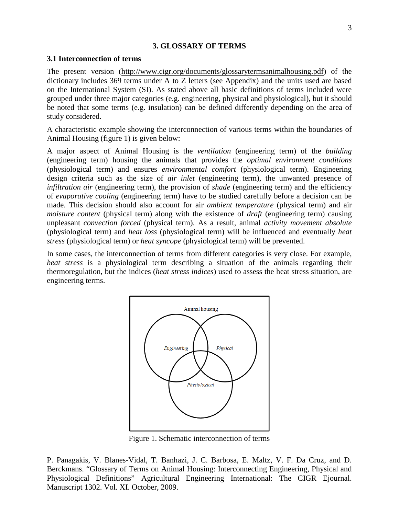## **3. GLOSSARY OF TERMS**

## **3.1 Interconnection of terms**

The present version [\(http://www.cigr.org/documents/glossarytermsanimalhousing.pdf\)](http://www.cigr.org/documents/glossarytermsanimalhousing.pdf) of the dictionary includes 369 terms under A to Z letters (see Appendix) and the units used are based on the International System (SI). As stated above all basic definitions of terms included were grouped under three major categories (e.g. engineering, physical and physiological), but it should be noted that some terms (e.g. insulation) can be defined differently depending on the area of study considered.

A characteristic example showing the interconnection of various terms within the boundaries of Animal Housing (figure 1) is given below:

A major aspect of Animal Housing is the *ventilation* (engineering term) of the *building* (engineering term) housing the animals that provides the *optimal environment conditions* (physiological term) and ensures *environmental comfort* (physiological term). Engineering design criteria such as the size of *air inlet* (engineering term), the unwanted presence of *infiltration air* (engineering term), the provision of *shade* (engineering term) and the efficiency of *evaporative cooling* (engineering term) have to be studied carefully before a decision can be made. This decision should also account for air *ambient temperature* (physical term) and air *moisture content* (physical term) along with the existence of *draft* (engineering term) causing unpleasant *convection forced* (physical term). As a result, animal *activity movement absolute* (physiological term) and *heat loss* (physiological term) will be influenced and eventually *heat stress* (physiological term) or *heat syncope* (physiological term) will be prevented.

In some cases, the interconnection of terms from different categories is very close. For example, *heat stress* is a physiological term describing a situation of the animals regarding their thermoregulation, but the indices (*heat stress indices*) used to assess the heat stress situation, are engineering terms.



Figure 1. Schematic interconnection of terms

P. Panagakis, V. Blanes-Vidal, T. Banhazi, J. C. Barbosa, E. Maltz, V. F. Da Cruz, and D. Berckmans. "Glossary of Terms on Animal Housing: Interconnecting Engineering, Physical and Physiological Definitions" Agricultural Engineering International: The CIGR Ejournal. Manuscript 1302. Vol. XI. October, 2009.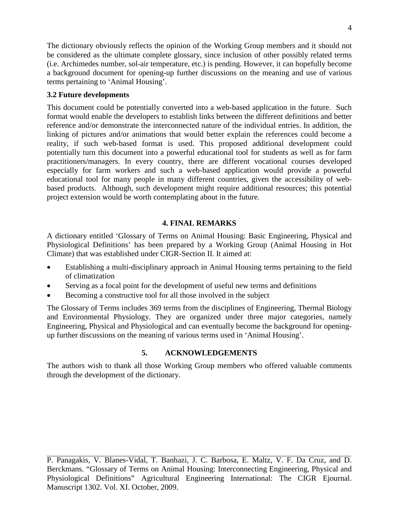The dictionary obviously reflects the opinion of the Working Group members and it should not be considered as the ultimate complete glossary, since inclusion of other possibly related terms (i.e. Archimedes number, sol-air temperature, etc.) is pending. However, it can hopefully become a background document for opening-up further discussions on the meaning and use of various terms pertaining to 'Animal Housing'.

## **3.2 Future developments**

This document could be potentially converted into a web-based application in the future. Such format would enable the developers to establish links between the different definitions and better reference and/or demonstrate the interconnected nature of the individual entries. In addition, the linking of pictures and/or animations that would better explain the references could become a reality, if such web-based format is used. This proposed additional development could potentially turn this document into a powerful educational tool for students as well as for farm practitioners/managers. In every country, there are different vocational courses developed especially for farm workers and such a web-based application would provide a powerful educational tool for many people in many different countries, given the accessibility of webbased products. Although, such development might require additional resources; this potential project extension would be worth contemplating about in the future.

# **4. FINAL REMARKS**

A dictionary entitled 'Glossary of Terms on Animal Housing: Basic Engineering, Physical and Physiological Definitions' has been prepared by a Working Group (Animal Housing in Hot Climate) that was established under CIGR-Section II. It aimed at:

- Establishing a multi-disciplinary approach in Animal Housing terms pertaining to the field of climatization
- Serving as a focal point for the development of useful new terms and definitions
- Becoming a constructive tool for all those involved in the subject

The Glossary of Terms includes 369 terms from the disciplines of Engineering, Thermal Biology and Environmental Physiology. They are organized under three major categories, namely Engineering, Physical and Physiological and can eventually become the background for openingup further discussions on the meaning of various terms used in 'Animal Housing'.

# **5. ACKNOWLEDGEMENTS**

The authors wish to thank all those Working Group members who offered valuable comments through the development of the dictionary.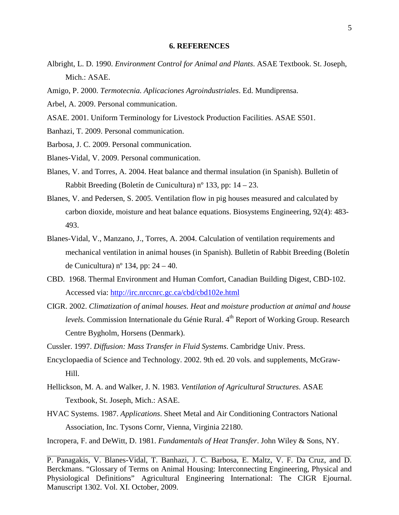#### **6. REFERENCES**

- Albright, L. D. 1990. *Environment Control for Animal and Plants*. ASAE Textbook. St. Joseph, Mich.: ASAE.
- Amigo, P. 2000. *Termotecnia. Aplicaciones Agroindustriales*. Ed. Mundiprensa.
- Arbel, A. 2009. Personal communication.
- ASAE. 2001. Uniform Terminology for Livestock Production Facilities. ASAE S501.
- Banhazi, T. 2009. Personal communication.
- Barbosa, J. C. 2009. Personal communication.
- Blanes-Vidal, V. 2009. Personal communication.
- Blanes, V. and Torres, A. 2004. Heat balance and thermal insulation (in Spanish). Bulletin of Rabbit Breeding (Boletín de Cunicultura) nº 133, pp: 14 – 23.
- Blanes, V. and Pedersen, S. 2005. Ventilation flow in pig houses measured and calculated by carbon dioxide, moisture and heat balance equations. Biosystems Engineering, 92(4): 483- 493.
- Blanes-Vidal, V., Manzano, J., Torres, A. 2004. Calculation of ventilation requirements and mechanical ventilation in animal houses (in Spanish). Bulletin of Rabbit Breeding (Boletín de Cunicultura) nº 134, pp:  $24 - 40$ .
- CBD. 1968. Thermal Environment and Human Comfort, Canadian Building Digest, CBD-102. Accessed via: <http://irc.nrccnrc.gc.ca/cbd/cbd102e.html>
- CIGR. 2002. *Climatization of animal houses. Heat and moisture production at animal and house levels.* Commission Internationale du Génie Rural. 4<sup>th</sup> Report of Working Group. Research Centre Bygholm, Horsens (Denmark).
- Cussler. 1997. *Diffusion: Mass Transfer in Fluid Systems*. Cambridge Univ. Press.
- Encyclopaedia of Science and Technology. 2002. 9th ed. 20 vols. and supplements, McGraw-Hill.
- Hellickson, M. A. and Walker, J. N. 1983. *Ventilation of Agricultural Structures*. ASAE Textbook, St. Joseph, Mich.: ASAE.
- HVAC Systems. 1987. *Applications*. Sheet Metal and Air Conditioning Contractors National Association, Inc. Tysons Cornr, Vienna, Virginia 22180.

Incropera, F. and DeWitt, D. 1981. *Fundamentals of Heat Transfer*. John Wiley & Sons, NY.

P. Panagakis, V. Blanes-Vidal, T. Banhazi, J. C. Barbosa, E. Maltz, V. F. Da Cruz, and D. Berckmans. "Glossary of Terms on Animal Housing: Interconnecting Engineering, Physical and Physiological Definitions" Agricultural Engineering International: The CIGR Ejournal. Manuscript 1302. Vol. XI. October, 2009.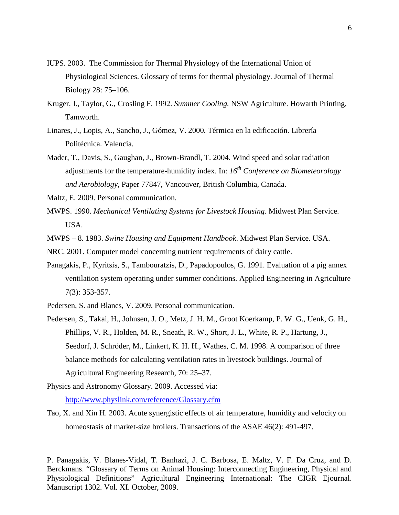- IUPS. 2003. The Commission for Thermal Physiology of the International Union of Physiological Sciences. Glossary of terms for thermal physiology. Journal of Thermal Biology 28: 75–106.
- Kruger, I., Taylor, G., Crosling F. 1992. *Summer Cooling.* NSW Agriculture. Howarth Printing, Tamworth.
- Linares, J., Lopis, A., Sancho, J., Gómez, V. 2000. Térmica en la edificación. Librería Politécnica. Valencia.
- Mader, T., Davis, S., Gaughan, J., Brown-Brandl, T. 2004. Wind speed and solar radiation adjustments for the temperature-humidity index. In: *16th Conference on Biometeorology and Aerobiology,* Paper 77847, Vancouver, British Columbia, Canada.

Maltz, E. 2009. Personal communication.

MWPS. 1990. *Mechanical Ventilating Systems for Livestock Housing*. Midwest Plan Service. USA.

MWPS – 8. 1983. *Swine Housing and Equipment Handbook*. Midwest Plan Service. USA.

NRC. 2001. Computer model concerning nutrient requirements of dairy cattle.

- Panagakis, P., Kyritsis, S., Tambouratzis, D., Papadopoulos, G. 1991. Evaluation of a pig annex ventilation system operating under summer conditions*.* Applied Engineering in Agriculture 7(3): 353-357.
- Pedersen, S. and Blanes, V. 2009. Personal communication.
- Pedersen, S., Takai, H., Johnsen, J. O., Metz, J. H. M., Groot Koerkamp, P. W. G., Uenk, G. H., Phillips, V. R., Holden, M. R., Sneath, R. W., Short, J. L., White, R. P., Hartung, J., Seedorf, J. Schröder, M., Linkert, K. H. H., Wathes, C. M. 1998. A comparison of three balance methods for calculating ventilation rates in livestock buildings. Journal of Agricultural Engineering Research, 70: 25–37.
- Physics and Astronomy Glossary. 2009. Accessed via: <http://www.physlink.com/reference/Glossary.cfm>
- Tao, X. and Xin H. 2003. Acute synergistic effects of air temperature, humidity and velocity on homeostasis of market-size broilers. Transactions of the ASAE 46(2): 491-497.

P. Panagakis, V. Blanes-Vidal, T. Banhazi, J. C. Barbosa, E. Maltz, V. F. Da Cruz, and D. Berckmans. "Glossary of Terms on Animal Housing: Interconnecting Engineering, Physical and Physiological Definitions" Agricultural Engineering International: The CIGR Ejournal. Manuscript 1302. Vol. XI. October, 2009.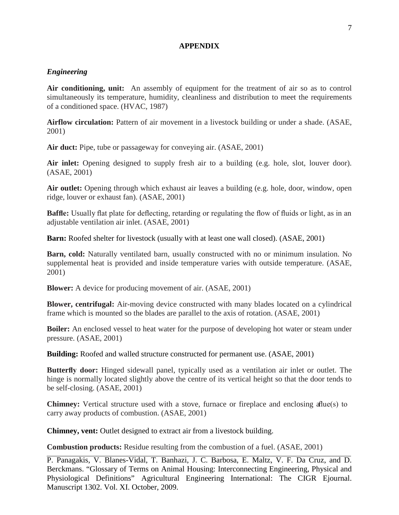### **APPENDIX**

## *Engineering*

**Air conditioning, unit:** An assembly of equipment for the treatment of air so as to control simultaneously its temperature, humidity, cleanliness and distribution to meet the requirements of a conditioned space. (HVAC, 1987)

**Airflow circulation:** Pattern of air movement in a livestock building or under a shade. (ASAE, 2001)

**Air duct:** Pipe, tube or passageway for conveying air. (ASAE, 2001)

Air inlet: Opening designed to supply fresh air to a building (e.g. hole, slot, louver door). (ASAE, 2001)

**Air outlet:** Opening through which exhaust air leaves a building (e.g. hole, door, window, open ridge, louver or exhaust fan). (ASAE, 2001)

**Baffle:** Usually flat plate for deflecting, retarding or regulating the flow of fluids or light, as in an adjustable ventilation air inlet. (ASAE, 2001)

**Barn:** Roofed shelter for livestock (usually with at least one wall closed). (ASAE, 2001)

**Barn, cold:** Naturally ventilated barn, usually constructed with no or minimum insulation. No supplemental heat is provided and inside temperature varies with outside temperature. (ASAE, 2001)

**Blower:** A device for producing movement of air. (ASAE, 2001)

**Blower, centrifugal:** Air-moving device constructed with many blades located on a cylindrical frame which is mounted so the blades are parallel to the axis of rotation. (ASAE, 2001)

**Boiler:** An enclosed vessel to heat water for the purpose of developing hot water or steam under pressure. (ASAE, 2001)

**Building:** Roofed and walled structure constructed for permanent use. (ASAE, 2001)

**Butterfly door:** Hinged sidewall panel, typically used as a ventilation air inlet or outlet. The hinge is normally located slightly above the centre of its vertical height so that the door tends to be self-closing. (ASAE, 2001)

**Chimney:** Vertical structure used with a stove, furnace or fireplace and enclosing a flue(s) to carry away products of combustion. (ASAE, 2001)

**Chimney, vent:** Outlet designed to extract air from a livestock building.

**Combustion products:** Residue resulting from the combustion of a fuel. (ASAE, 2001)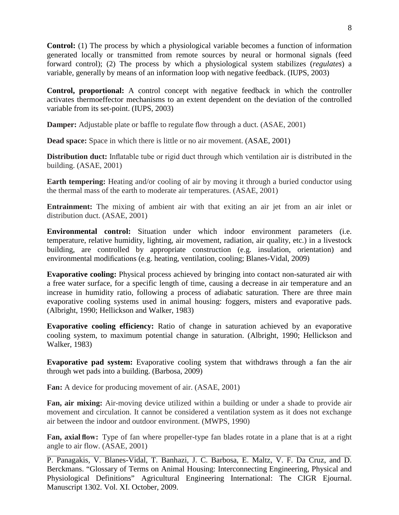**Control:** (1) The process by which a physiological variable becomes a function of information generated locally or transmitted from remote sources by neural or hormonal signals (feed forward control); (2) The process by which a physiological system stabilizes (*regulates*) a variable, generally by means of an information loop with negative feedback. (IUPS, 2003)

**Control, proportional:** A control concept with negative feedback in which the controller activates thermoeffector mechanisms to an extent dependent on the deviation of the controlled variable from its set-point. (IUPS, 2003)

**Damper:** Adjustable plate or baffle to regulate flow through a duct. (ASAE, 2001)

**Dead space:** Space in which there is little or no air movement. (ASAE, 2001)

**Distribution duct:** Inflatable tube or rigid duct through which ventilation air is distributed in the building. (ASAE, 2001)

**Earth tempering:** Heating and/or cooling of air by moving it through a buried conductor using the thermal mass of the earth to moderate air temperatures. (ASAE, 2001)

**Entrainment:** The mixing of ambient air with that exiting an air jet from an air inlet or distribution duct. (ASAE, 2001)

**Environmental control:** Situation under which indoor environment parameters (i.e. temperature, relative humidity, lighting, air movement, radiation, air quality, etc.) in a livestock building, are controlled by appropriate construction (e.g. insulation, orientation) and environmental modifications (e.g. heating, ventilation, cooling; Blanes-Vidal, 2009)

**Evaporative cooling:** Physical process achieved by bringing into contact non-saturated air with a free water surface, for a specific length of time, causing a decrease in air temperature and an increase in humidity ratio, following a process of adiabatic saturation. There are three main evaporative cooling systems used in animal housing: foggers, misters and evaporative pads. (Albright, 1990; Hellickson and Walker, 1983)

**Evaporative cooling efficiency:** Ratio of change in saturation achieved by an evaporative cooling system, to maximum potential change in saturation. (Albright, 1990; Hellickson and Walker, 1983)

**Evaporative pad system:** Evaporative cooling system that withdraws through a fan the air through wet pads into a building. (Barbosa, 2009)

**Fan:** A device for producing movement of air. (ASAE, 2001)

**Fan, air mixing:** Air-moving device utilized within a building or under a shade to provide air movement and circulation. It cannot be considered a ventilation system as it does not exchange air between the indoor and outdoor environment. (MWPS, 1990)

**Fan, axial flow:** Type of fan where propeller-type fan blades rotate in a plane that is at a right angle to air flow. (ASAE, 2001)

P. Panagakis, V. Blanes-Vidal, T. Banhazi, J. C. Barbosa, E. Maltz, V. F. Da Cruz, and D. Berckmans. "Glossary of Terms on Animal Housing: Interconnecting Engineering, Physical and Physiological Definitions" Agricultural Engineering International: The CIGR Ejournal. Manuscript 1302. Vol. XI. October, 2009.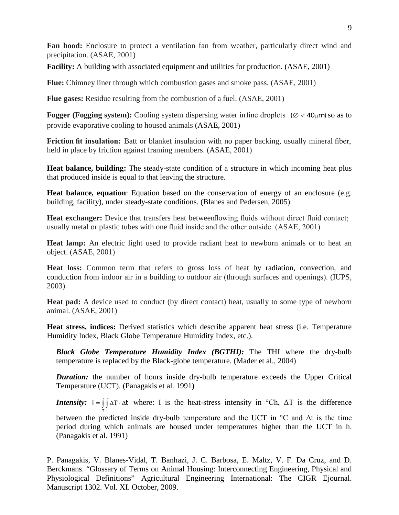**Fan hood:** Enclosure to protect a ventilation fan from weather, particularly direct wind and precipitation. (ASAE, 2001)

**Facility:** A building with associated equipment and utilities for production. (ASAE, 2001)

**Flue:** Chimney liner through which combustion gases and smoke pass. (ASAE, 2001)

**Flue gases:** Residue resulting from the combustion of a fuel. (ASAE, 2001)

**Fogger (Fogging system):** Cooling system dispersing water infine droplets ( $\varnothing$  < 40 $\mu$ m) so as to provide evaporative cooling to housed animals (ASAE, 2001)

**Friction fit insulation:** Batt or blanket insulation with no paper backing, usually mineral fiber, held in place by friction against framing members. (ASAE, 2001)

**Heat balance, building:** The steady-state condition of a structure in which incoming heat plus that produced inside is equal to that leaving the structure.

Heat balance, equation: Equation based on the conservation of energy of an enclosure (e.g. building, facility), under steady-state conditions. (Blanes and Pedersen, 2005)

Heat exchanger: Device that transfers heat between flowing fluids without direct fluid contact; usually metal or plastic tubes with one fluid inside and the other outside. (ASAE, 2001)

**Heat lamp:** An electric light used to provide radiant heat to newborn animals or to heat an object. (ASAE, 2001)

**Heat loss:** Common term that refers to gross loss of heat by radiation, convection, and conduction from indoor air in a building to outdoor air (through surfaces and openings). (IUPS, 2003)

**Heat pad:** A device used to conduct (by direct contact) heat, usually to some type of newborn animal. (ASAE, 2001)

**Heat stress, indices:** Derived statistics which describe apparent heat stress (i.e. Temperature Humidity Index, Black Globe Temperature Humidity Index, etc.).

*Black Globe Temperature Humidity Index (BGTHI):* The THI where the dry-bulb temperature is replaced by the Black-globe temperature. (Mader et al., 2004)

*Duration:* the number of hours inside dry-bulb temperature exceeds the Upper Critical Temperature (UCT). (Panagakis et al. 1991)

*Intensity:*  $I = \iint \Delta T \cdot \Delta t$  where: I is the heat-stress intensity in °Ch,  $\Delta T$  is the difference T t

between the predicted inside dry-bulb temperature and the UCT in  $\degree$ C and  $\Delta t$  is the time period during which animals are housed under temperatures higher than the UCT in h. (Panagakis et al. 1991)

P. Panagakis, V. Blanes-Vidal, T. Banhazi, J. C. Barbosa, E. Maltz, V. F. Da Cruz, and D. Berckmans. "Glossary of Terms on Animal Housing: Interconnecting Engineering, Physical and Physiological Definitions" Agricultural Engineering International: The CIGR Ejournal. Manuscript 1302. Vol. XI. October, 2009.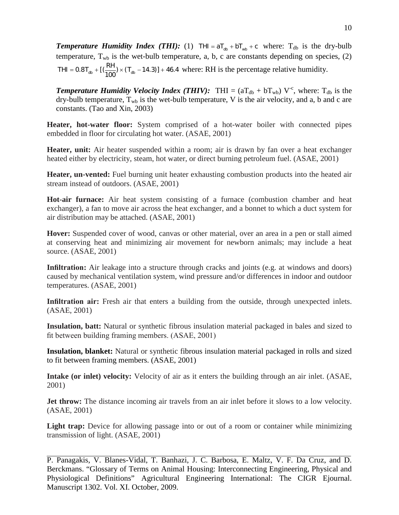**Temperature Humidity Index (THI):** (1) THI =  $aT_{db} + bT_{wb} + c$  where:  $T_{db}$  is the dry-bulb temperature,  $T_{wb}$  is the wet-bulb temperature, a, b, c are constants depending on species, (2) THI =  $0.8T_{ab} + \left[\frac{RH}{100}\right) \times (T_{ab} - 14.3)\right] + 46.4$  where: RH is the percentage relative humidity.

*Temperature Humidity Velocity Index (THIV):* THI =  $(aT_{db} + bT_{wb}) V^{-c}$ , where:  $T_{db}$  is the dry-bulb temperature,  $T_{wb}$  is the wet-bulb temperature, V is the air velocity, and a, b and c are constants. (Tao and Xin, 2003)

**Heater, hot-water floor:** System comprised of a hot-water boiler with connected pipes embedded in floor for circulating hot water. (ASAE, 2001)

**Heater, unit:** Air heater suspended within a room; air is drawn by fan over a heat exchanger heated either by electricity, steam, hot water, or direct burning petroleum fuel. (ASAE, 2001)

**Heater, un-vented:** Fuel burning unit heater exhausting combustion products into the heated air stream instead of outdoors. (ASAE, 2001)

**Hot-air furnace:** Air heat system consisting of a furnace (combustion chamber and heat exchanger), a fan to move air across the heat exchanger, and a bonnet to which a duct system for air distribution may be attached. (ASAE, 2001)

**Hover:** Suspended cover of wood, canvas or other material, over an area in a pen or stall aimed at conserving heat and minimizing air movement for newborn animals; may include a heat source. (ASAE, 2001)

**Infiltration:** Air leakage into a structure through cracks and joints (e.g. at windows and doors) caused by mechanical ventilation system, wind pressure and/or differences in indoor and outdoor temperatures. (ASAE, 2001)

**Infiltration air:** Fresh air that enters a building from the outside, through unexpected inlets. (ASAE, 2001)

**Insulation, batt:** Natural or synthetic fibrous insulation material packaged in bales and sized to fit between building framing members. (ASAE, 2001)

**Insulation, blanket:** Natural or synthetic fibrous insulation material packaged in rolls and sized to fit between framing members. (ASAE, 2001)

**Intake (or inlet) velocity:** Velocity of air as it enters the building through an air inlet. (ASAE, 2001)

**Jet throw:** The distance incoming air travels from an air inlet before it slows to a low velocity. (ASAE, 2001)

Light trap: Device for allowing passage into or out of a room or container while minimizing transmission of light. (ASAE, 2001)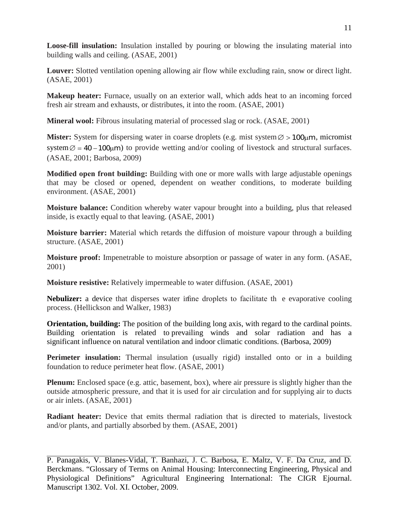**Loose-fill insulation:** Insulation installed by pouring or blowing the insulating material into building walls and ceiling. (ASAE, 2001)

**Louver:** Slotted ventilation opening allowing air flow while excluding rain, snow or direct light. (ASAE, 2001)

**Makeup heater:** Furnace, usually on an exterior wall, which adds heat to an incoming forced fresh air stream and exhausts, or distributes, it into the room. (ASAE, 2001)

**Mineral wool:** Fibrous insulating material of processed slag or rock. (ASAE, 2001)

**Mister:** System for dispersing water in coarse droplets (e.g. mist system ⊘ > 100µm, micromist system  $\varnothing$  = 40 – 100 $\mu$ m) to provide wetting and/or cooling of livestock and structural surfaces. (ASAE, 2001; Barbosa, 2009)

**Modified open front building:** Building with one or more walls with large adjustable openings that may be closed or opened, dependent on weather conditions, to moderate building environment. (ASAE, 2001)

**Moisture balance:** Condition whereby water vapour brought into a building, plus that released inside, is exactly equal to that leaving. (ASAE, 2001)

**Moisture barrier:** Material which retards the diffusion of moisture vapour through a building structure. (ASAE, 2001)

**Moisture proof:** Impenetrable to moisture absorption or passage of water in any form. (ASAE, 2001)

**Moisture resistive:** Relatively impermeable to water diffusion. (ASAE, 2001)

**Nebulizer:** a device that disperses water infine droplets to facilitate the evaporative cooling process. (Hellickson and Walker, 1983)

**Orientation, building:** The position of the building long axis, with regard to the cardinal points. Building orientation is related to prevailing winds and solar radiation and has a significant influence on natural ventilation and indoor climatic conditions. (Barbosa, 2009)

**Perimeter insulation:** Thermal insulation (usually rigid) installed onto or in a building foundation to reduce perimeter heat flow. (ASAE, 2001)

**Plenum:** Enclosed space (e.g. attic, basement, box), where air pressure is slightly higher than the outside atmospheric pressure, and that it is used for air circulation and for supplying air to ducts or air inlets. (ASAE, 2001)

**Radiant heater:** Device that emits thermal radiation that is directed to materials, livestock and/or plants, and partially absorbed by them. (ASAE, 2001)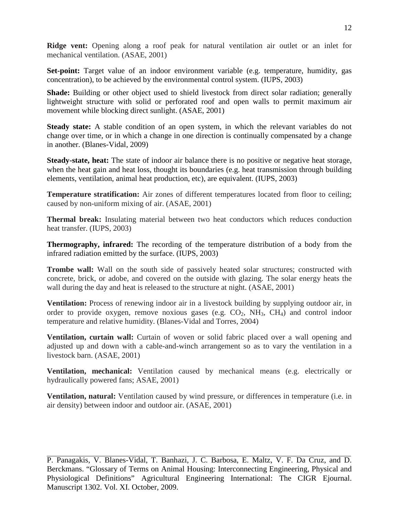**Ridge vent:** Opening along a roof peak for natural ventilation air outlet or an inlet for mechanical ventilation. (ASAE, 2001)

Set-point: Target value of an indoor environment variable (e.g. temperature, humidity, gas concentration), to be achieved by the environmental control system. (IUPS, 2003)

**Shade:** Building or other object used to shield livestock from direct solar radiation; generally lightweight structure with solid or perforated roof and open walls to permit maximum air movement while blocking direct sunlight. (ASAE, 2001)

**Steady state:** A stable condition of an open system, in which the relevant variables do not change over time, or in which a change in one direction is continually compensated by a change in another. (Blanes-Vidal, 2009)

**Steady-state, heat:** The state of indoor air balance there is no positive or negative heat storage, when the heat gain and heat loss, thought its boundaries (e.g. heat transmission through building elements, ventilation, animal heat production, etc), are equivalent. (IUPS, 2003)

**Temperature stratification:** Air zones of different temperatures located from floor to ceiling; caused by non-uniform mixing of air. (ASAE, 2001)

**Thermal break:** Insulating material between two heat conductors which reduces conduction heat transfer. (IUPS, 2003)

**Thermography, infrared:** The recording of the temperature distribution of a body from the infrared radiation emitted by the surface. (IUPS, 2003)

**Trombe wall:** Wall on the south side of passively heated solar structures; constructed with concrete, brick, or adobe, and covered on the outside with glazing. The solar energy heats the wall during the day and heat is released to the structure at night. (ASAE, 2001)

**Ventilation:** Process of renewing indoor air in a livestock building by supplying outdoor air, in order to provide oxygen, remove noxious gases (e.g.  $CO_2$ ,  $NH_3$ ,  $CH_4$ ) and control indoor temperature and relative humidity. (Blanes-Vidal and Torres, 2004)

**Ventilation, curtain wall:** Curtain of woven or solid fabric placed over a wall opening and adjusted up and down with a cable-and-winch arrangement so as to vary the ventilation in a livestock barn. (ASAE, 2001)

**Ventilation, mechanical:** Ventilation caused by mechanical means (e.g. electrically or hydraulically powered fans; ASAE, 2001)

**Ventilation, natural:** Ventilation caused by wind pressure, or differences in temperature (i.e. in air density) between indoor and outdoor air. (ASAE, 2001)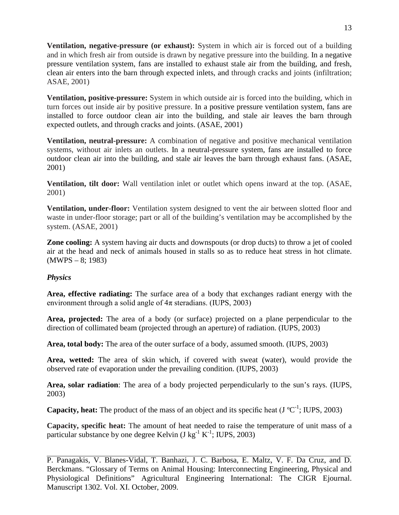**Ventilation, negative-pressure (or exhaust):** System in which air is forced out of a building and in which fresh air from outside is drawn by negative pressure into the building. In a negative pressure ventilation system, fans are installed to exhaust stale air from the building, and fresh, clean air enters into the barn through expected inlets, and through cracks and joints (infiltration; ASAE, 2001)

**Ventilation, positive-pressure:** System in which outside air is forced into the building, which in turn forces out inside air by positive pressure. In a positive pressure ventilation system, fans are installed to force outdoor clean air into the building, and stale air leaves the barn through expected outlets, and through cracks and joints. (ASAE, 2001)

**Ventilation, neutral-pressure:** A combination of negative and positive mechanical ventilation systems, without air inlets an outlets. In a neutral-pressure system, fans are installed to force outdoor clean air into the building, and stale air leaves the barn through exhaust fans. (ASAE, 2001)

**Ventilation, tilt door:** Wall ventilation inlet or outlet which opens inward at the top. (ASAE, 2001)

**Ventilation, under-floor:** Ventilation system designed to vent the air between slotted floor and waste in under-floor storage; part or all of the building's ventilation may be accomplished by the system. (ASAE, 2001)

**Zone cooling:** A system having air ducts and downspouts (or drop ducts) to throw a jet of cooled air at the head and neck of animals housed in stalls so as to reduce heat stress in hot climate. (MWPS – 8; 1983)

## *Physics*

**Area, effective radiating:** The surface area of a body that exchanges radiant energy with the environment through a solid angle of  $4\pi$  steradians. (IUPS, 2003)

**Area, projected:** The area of a body (or surface) projected on a plane perpendicular to the direction of collimated beam (projected through an aperture) of radiation. (IUPS, 2003)

**Area, total body:** The area of the outer surface of a body, assumed smooth. (IUPS, 2003)

**Area, wetted:** The area of skin which, if covered with sweat (water), would provide the observed rate of evaporation under the prevailing condition. (IUPS, 2003)

**Area, solar radiation**: The area of a body projected perpendicularly to the sun's rays. (IUPS, 2003)

**Capacity, heat:** The product of the mass of an object and its specific heat  $(J^{\circ}C^{-1})$ ; IUPS, 2003)

**Capacity, specific heat:** The amount of heat needed to raise the temperature of unit mass of a particular substance by one degree Kelvin (J kg<sup>-1</sup> K<sup>-1</sup>; IUPS, 2003)

P. Panagakis, V. Blanes-Vidal, T. Banhazi, J. C. Barbosa, E. Maltz, V. F. Da Cruz, and D. Berckmans. "Glossary of Terms on Animal Housing: Interconnecting Engineering, Physical and Physiological Definitions" Agricultural Engineering International: The CIGR Ejournal. Manuscript 1302. Vol. XI. October, 2009.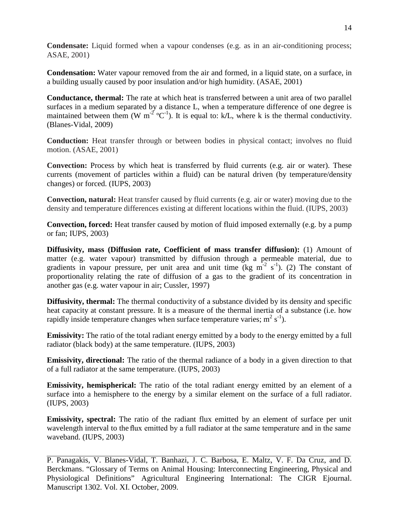**Condensate:** Liquid formed when a vapour condenses (e.g. as in an air-conditioning process; ASAE, 2001)

**Condensation:** Water vapour removed from the air and formed, in a liquid state, on a surface, in a building usually caused by poor insulation and/or high humidity. (ASAE, 2001)

**Conductance, thermal:** The rate at which heat is transferred between a unit area of two parallel surfaces in a medium separated by a distance L, when a temperature difference of one degree is maintained between them (W  $m^{-2}$  °C<sup>-1</sup>). It is equal to: k/L, where k is the thermal conductivity. (Blanes-Vidal, 2009)

**Conduction:** Heat transfer through or between bodies in physical contact; involves no fluid motion. (ASAE, 2001)

**Convection:** Process by which heat is transferred by fluid currents (e.g. air or water). These currents (movement of particles within a fluid) can be natural driven (by temperature/density changes) or forced. (IUPS, 2003)

**Convection, natural:** Heat transfer caused by fluid currents (e.g. air or water) moving due to the density and temperature differences existing at different locations within the fluid. (IUPS, 2003)

**Convection, forced:** Heat transfer caused by motion of fluid imposed externally (e.g. by a pump or fan; IUPS, 2003)

**Diffusivity, mass (Diffusion rate, Coefficient of mass transfer diffusion):** (1) Amount of matter (e.g. water vapour) transmitted by diffusion through a permeable material, due to gradients in vapour pressure, per unit area and unit time (kg  $m^{-2} s^{-1}$ ). (2) The constant of proportionality relating the rate of diffusion of a gas to the gradient of its concentration in another gas (e.g. water vapour in air; Cussler, 1997)

**Diffusivity, thermal:** The thermal conductivity of a substance divided by its density and specific heat capacity at constant pressure. It is a measure of the thermal inertia of a substance (i.e. how rapidly inside temperature changes when surface temperature varies;  $m^2 s^{-1}$ ).

**Emissivity:** The ratio of the total radiant energy emitted by a body to the energy emitted by a full radiator (black body) at the same temperature. (IUPS, 2003)

**Emissivity, directional:** The ratio of the thermal radiance of a body in a given direction to that of a full radiator at the same temperature. (IUPS, 2003)

**Emissivity, hemispherical:** The ratio of the total radiant energy emitted by an element of a surface into a hemisphere to the energy by a similar element on the surface of a full radiator. (IUPS, 2003)

**Emissivity, spectral:** The ratio of the radiant flux emitted by an element of surface per unit wavelength interval to the flux emitted by a full radiator at the same temperature and in the same waveband. (IUPS, 2003)

P. Panagakis, V. Blanes-Vidal, T. Banhazi, J. C. Barbosa, E. Maltz, V. F. Da Cruz, and D. Berckmans. "Glossary of Terms on Animal Housing: Interconnecting Engineering, Physical and Physiological Definitions" Agricultural Engineering International: The CIGR Ejournal. Manuscript 1302. Vol. XI. October, 2009.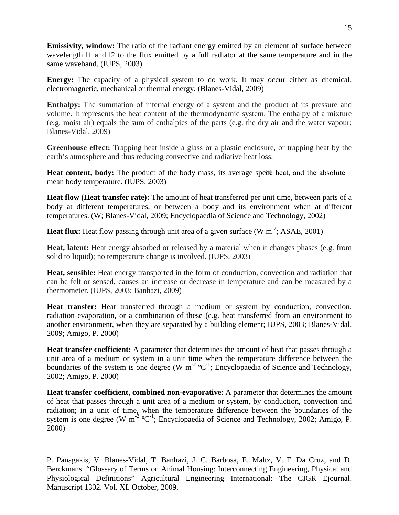**Emissivity, window:** The ratio of the radiant energy emitted by an element of surface between wavelength l1 and l2 to the flux emitted by a full radiator at the same temperature and in the same waveband. (IUPS, 2003)

**Energy:** The capacity of a physical system to do work. It may occur either as chemical, electromagnetic, mechanical or thermal energy. (Blanes-Vidal, 2009)

**Enthalpy:** The summation of internal energy of a system and the product of its pressure and volume. It represents the heat content of the thermodynamic system. The enthalpy of a mixture (e.g. moist air) equals the sum of enthalpies of the parts (e.g. the dry air and the water vapour; Blanes-Vidal, 2009)

**Greenhouse effect:** Trapping heat inside a glass or a plastic enclosure, or trapping heat by the earth's atmosphere and thus reducing convective and radiative heat loss.

**Heat content, body:** The product of the body mass, its average specific heat, and the absolute mean body temperature. (IUPS, 2003)

**Heat flow (Heat transfer rate):** The amount of heat transferred per unit time, between parts of a body at different temperatures, or between a body and its environment when at different temperatures. (W; Blanes-Vidal, 2009; Encyclopaedia of Science and Technology, 2002)

Heat flux: Heat flow passing through unit area of a given surface (W m<sup>-2</sup>; ASAE, 2001)

**Heat, latent:** Heat energy absorbed or released by a material when it changes phases (e.g. from solid to liquid); no temperature change is involved. (IUPS, 2003)

Heat, sensible: Heat energy transported in the form of conduction, convection and radiation that can be felt or sensed, causes an increase or decrease in temperature and can be measured by a thermometer. (IUPS, 2003; Banhazi, 2009)

**Heat transfer:** Heat transferred through a medium or system by conduction, convection, radiation evaporation, or a combination of these (e.g. heat transferred from an environment to another environment, when they are separated by a building element; IUPS, 2003; Blanes-Vidal, 2009; Amigo, P. 2000)

**Heat transfer coefficient:** A parameter that determines the amount of heat that passes through a unit area of a medium or system in a unit time when the temperature difference between the boundaries of the system is one degree (W  $m^{-2}$  °C<sup>-1</sup>; Encyclopaedia of Science and Technology, 2002; Amigo, P. 2000)

**Heat transfer coefficient, combined non-evaporative**: A parameter that determines the amount of heat that passes through a unit area of a medium or system, by conduction, convection and radiation; in a unit of time, when the temperature difference between the boundaries of the system is one degree (W  $m^{-2}$  °C<sup>-1</sup>; Encyclopaedia of Science and Technology, 2002; Amigo, P. 2000)

P. Panagakis, V. Blanes-Vidal, T. Banhazi, J. C. Barbosa, E. Maltz, V. F. Da Cruz, and D. Berckmans. "Glossary of Terms on Animal Housing: Interconnecting Engineering, Physical and Physiological Definitions" Agricultural Engineering International: The CIGR Ejournal. Manuscript 1302. Vol. XI. October, 2009.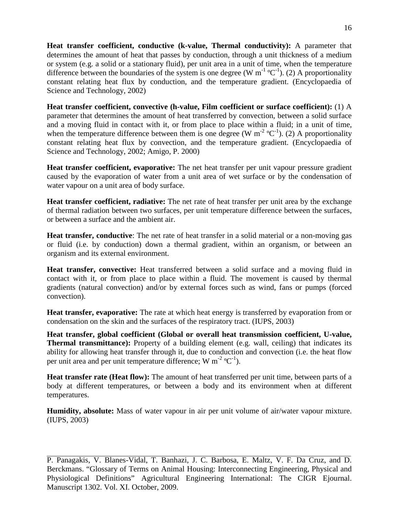**Heat transfer coefficient, conductive (k-value, Thermal conductivity):** A parameter that determines the amount of heat that passes by conduction, through a unit thickness of a medium or system (e.g. a solid or a stationary fluid), per unit area in a unit of time, when the temperature difference between the boundaries of the system is one degree (W  $m^{-1}$ °C<sup>-1</sup>). (2) A proportionality constant relating heat flux by conduction, and the temperature gradient. (Encyclopaedia of Science and Technology, 2002)

**Heat transfer coefficient, convective (h-value, Film coefficient or surface coefficient):** (1) A parameter that determines the amount of heat transferred by convection, between a solid surface and a moving fluid in contact with it, or from place to place within a fluid; in a unit of time, when the temperature difference between them is one degree (W  $m^{-2}$  °C<sup>-1</sup>). (2) A proportionality constant relating heat flux by convection, and the temperature gradient. (Encyclopaedia of Science and Technology, 2002; Amigo, P. 2000)

**Heat transfer coefficient, evaporative:** The net heat transfer per unit vapour pressure gradient caused by the evaporation of water from a unit area of wet surface or by the condensation of water vapour on a unit area of body surface.

**Heat transfer coefficient, radiative:** The net rate of heat transfer per unit area by the exchange of thermal radiation between two surfaces, per unit temperature difference between the surfaces, or between a surface and the ambient air.

**Heat transfer, conductive**: The net rate of heat transfer in a solid material or a non-moving gas or fluid (i.e. by conduction) down a thermal gradient, within an organism, or between an organism and its external environment.

**Heat transfer, convective:** Heat transferred between a solid surface and a moving fluid in contact with it, or from place to place within a fluid. The movement is caused by thermal gradients (natural convection) and/or by external forces such as wind, fans or pumps (forced convection).

**Heat transfer, evaporative:** The rate at which heat energy is transferred by evaporation from or condensation on the skin and the surfaces of the respiratory tract. (IUPS, 2003)

**Heat transfer, global coefficient (Global or overall heat transmission coefficient, U-value, Thermal transmittance):** Property of a building element (e.g. wall, ceiling) that indicates its ability for allowing heat transfer through it, due to conduction and convection (i.e. the heat flow per unit area and per unit temperature difference; W  $m^{-2}$  °C<sup>-1</sup>).

**Heat transfer rate (Heat flow):** The amount of heat transferred per unit time, between parts of a body at different temperatures, or between a body and its environment when at different temperatures.

**Humidity, absolute:** Mass of water vapour in air per unit volume of air/water vapour mixture. (IUPS, 2003)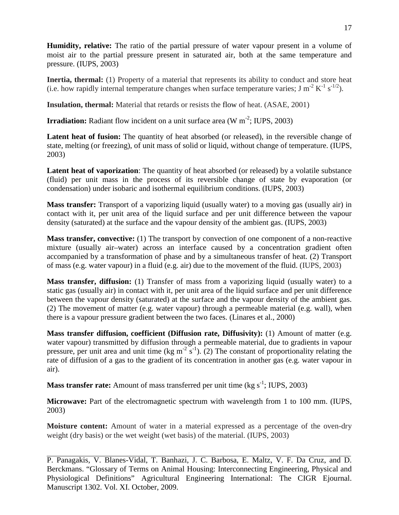**Humidity, relative:** The ratio of the partial pressure of water vapour present in a volume of moist air to the partial pressure present in saturated air, both at the same temperature and pressure. (IUPS, 2003)

**Inertia, thermal:** (1) Property of a material that represents its ability to conduct and store heat (i.e. how rapidly internal temperature changes when surface temperature varies; J m<sup>-2</sup> K<sup>-1</sup> s<sup>-1/2</sup>).

**Insulation, thermal:** Material that retards or resists the flow of heat. (ASAE, 2001)

**Irradiation:** Radiant flow incident on a unit surface area  $(W \text{ m}^{-2}; IUPS, 2003)$ 

**Latent heat of fusion:** The quantity of heat absorbed (or released), in the reversible change of state, melting (or freezing), of unit mass of solid or liquid, without change of temperature. (IUPS, 2003)

Latent heat of vaporization: The quantity of heat absorbed (or released) by a volatile substance (fluid) per unit mass in the process of its reversible change of state by evaporation (or condensation) under isobaric and isothermal equilibrium conditions. (IUPS, 2003)

**Mass transfer:** Transport of a vaporizing liquid (usually water) to a moving gas (usually air) in contact with it, per unit area of the liquid surface and per unit difference between the vapour density (saturated) at the surface and the vapour density of the ambient gas. (IUPS, 2003)

**Mass transfer, convective:** (1) The transport by convection of one component of a non-reactive mixture (usually air–water) across an interface caused by a concentration gradient often accompanied by a transformation of phase and by a simultaneous transfer of heat. (2) Transport of mass (e.g. water vapour) in a fluid (e.g. air) due to the movement of the fluid. (IUPS, 2003)

**Mass transfer, diffusion:** (1) Transfer of mass from a vaporizing liquid (usually water) to a static gas (usually air) in contact with it, per unit area of the liquid surface and per unit difference between the vapour density (saturated) at the surface and the vapour density of the ambient gas. (2) The movement of matter (e.g. water vapour) through a permeable material (e.g. wall), when there is a vapour pressure gradient between the two faces. (Linares et al., 2000)

**Mass transfer diffusion, coefficient (Diffusion rate, Diffusivity):** (1) Amount of matter (e.g. water vapour) transmitted by diffusion through a permeable material, due to gradients in vapour pressure, per unit area and unit time (kg m<sup>-2</sup> s<sup>-1</sup>). (2) The constant of proportionality relating the rate of diffusion of a gas to the gradient of its concentration in another gas (e.g. water vapour in air).

**Mass transfer rate:** Amount of mass transferred per unit time (kg s<sup>-1</sup>; IUPS, 2003)

**Microwave:** Part of the electromagnetic spectrum with wavelength from 1 to 100 mm. (IUPS, 2003)

**Moisture content:** Amount of water in a material expressed as a percentage of the oven-dry weight (dry basis) or the wet weight (wet basis) of the material. (IUPS, 2003)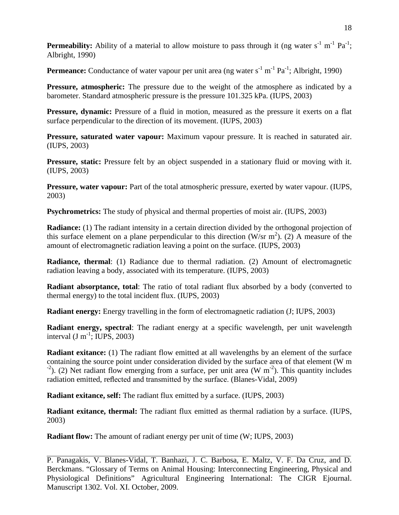**Permeability:** Ability of a material to allow moisture to pass through it (ng water s<sup>-1</sup> m<sup>-1</sup> Pa<sup>-1</sup>; Albright, 1990)

Permeance: Conductance of water vapour per unit area (ng water s<sup>-1</sup> m<sup>-1</sup> Pa<sup>-1</sup>; Albright, 1990)

**Pressure, atmospheric:** The pressure due to the weight of the atmosphere as indicated by a barometer. Standard atmospheric pressure is the pressure 101.325 kPa. (IUPS, 2003)

**Pressure, dynamic:** Pressure of a fluid in motion, measured as the pressure it exerts on a flat surface perpendicular to the direction of its movement. (IUPS, 2003)

**Pressure, saturated water vapour:** Maximum vapour pressure. It is reached in saturated air. (IUPS, 2003)

**Pressure, static:** Pressure felt by an object suspended in a stationary fluid or moving with it. (IUPS, 2003)

**Pressure, water vapour:** Part of the total atmospheric pressure, exerted by water vapour. (IUPS, 2003)

**Psychrometrics:** The study of physical and thermal properties of moist air. (IUPS, 2003)

**Radiance:** (1) The radiant intensity in a certain direction divided by the orthogonal projection of this surface element on a plane perpendicular to this direction (W/sr  $m<sup>2</sup>$ ). (2) A measure of the amount of electromagnetic radiation leaving a point on the surface. (IUPS, 2003)

**Radiance, thermal**: (1) Radiance due to thermal radiation. (2) Amount of electromagnetic radiation leaving a body, associated with its temperature. (IUPS, 2003)

**Radiant absorptance, total:** The ratio of total radiant flux absorbed by a body (converted to thermal energy) to the total incident flux. (IUPS, 2003)

**Radiant energy:** Energy travelling in the form of electromagnetic radiation (J; IUPS, 2003)

**Radiant energy, spectral**: The radiant energy at a specific wavelength, per unit wavelength interval  $(J m^{-1})$ ; IUPS, 2003)

**Radiant exitance:** (1) The radiant flow emitted at all wavelengths by an element of the surface containing the source point under consideration divided by the surface area of that element (W m ). (2) Net radiant flow emerging from a surface, per unit area (W  $m^{-2}$ ). This quantity includes radiation emitted, reflected and transmitted by the surface. (Blanes-Vidal, 2009)

**Radiant exitance, self:** The radiant flux emitted by a surface. (IUPS, 2003)

**Radiant exitance, thermal:** The radiant flux emitted as thermal radiation by a surface. (IUPS, 2003)

**Radiant flow:** The amount of radiant energy per unit of time (W; IUPS, 2003)

P. Panagakis, V. Blanes-Vidal, T. Banhazi, J. C. Barbosa, E. Maltz, V. F. Da Cruz, and D. Berckmans. "Glossary of Terms on Animal Housing: Interconnecting Engineering, Physical and Physiological Definitions" Agricultural Engineering International: The CIGR Ejournal. Manuscript 1302. Vol. XI. October, 2009.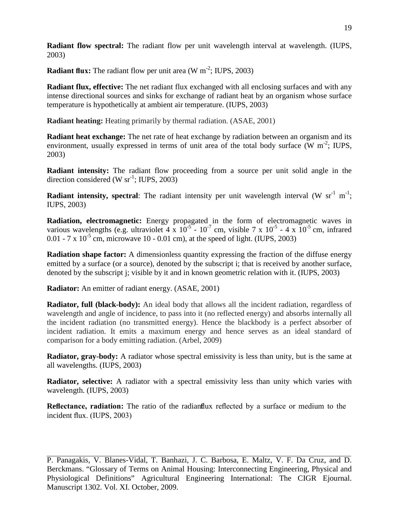**Radiant flow spectral:** The radiant flow per unit wavelength interval at wavelength. (IUPS, 2003)

**Radiant flux:** The radiant flow per unit area (W m<sup>-2</sup>; IUPS, 2003)

**Radiant flux, effective:** The net radiant flux exchanged with all enclosing surfaces and with any intense directional sources and sinks for exchange of radiant heat by an organism whose surface temperature is hypothetically at ambient air temperature. (IUPS, 2003)

**Radiant heating:** Heating primarily by thermal radiation. (ASAE, 2001)

**Radiant heat exchange:** The net rate of heat exchange by radiation between an organism and its environment, usually expressed in terms of unit area of the total body surface  $(W m^{-2}$ ; IUPS, 2003)

**Radiant intensity:** The radiant flow proceeding from a source per unit solid angle in the direction considered (W  $sr^{-1}$ ; IUPS, 2003)

**Radiant intensity, spectral:** The radiant intensity per unit wavelength interval (W  $sr^{-1}$  m<sup>-1</sup>; IUPS, 2003)

**Radiation, electromagnetic:** Energy propagated in the form of electromagnetic waves in various wavelengths (e.g. ultraviolet 4 x  $10^{-5}$  -  $10^{-7}$  cm, visible 7 x  $10^{-5}$  - 4 x  $10^{-5}$  cm, infrared 0.01 - 7 x  $10^{-5}$  cm, microwave 10 - 0.01 cm), at the speed of light. (IUPS, 2003)

**Radiation shape factor:** A dimensionless quantity expressing the fraction of the diffuse energy emitted by a surface (or a source), denoted by the subscript i; that is received by another surface, denoted by the subscript j; visible by it and in known geometric relation with it. (IUPS, 2003)

**Radiator:** An emitter of radiant energy. (ASAE, 2001)

**Radiator, full (black-body):** An ideal body that allows all the incident radiation, regardless of wavelength and angle of incidence, to pass into it (no reflected energy) and absorbs internally all the incident radiation (no transmitted energy). Hence the blackbody is a perfect absorber of incident radiation. It emits a maximum energy and hence serves as an ideal standard of comparison for a body emitting radiation. (Arbel, 2009)

**Radiator, gray-body:** A radiator whose spectral emissivity is less than unity, but is the same at all wavelengths. (IUPS, 2003)

**Radiator, selective:** A radiator with a spectral emissivity less than unity which varies with wavelength. (IUPS, 2003)

**Reflectance, radiation:** The ratio of the radiant flux reflected by a surface or medium to the incident flux. (IUPS, 2003)

P. Panagakis, V. Blanes-Vidal, T. Banhazi, J. C. Barbosa, E. Maltz, V. F. Da Cruz, and D. Berckmans. "Glossary of Terms on Animal Housing: Interconnecting Engineering, Physical and Physiological Definitions" Agricultural Engineering International: The CIGR Ejournal. Manuscript 1302. Vol. XI. October, 2009.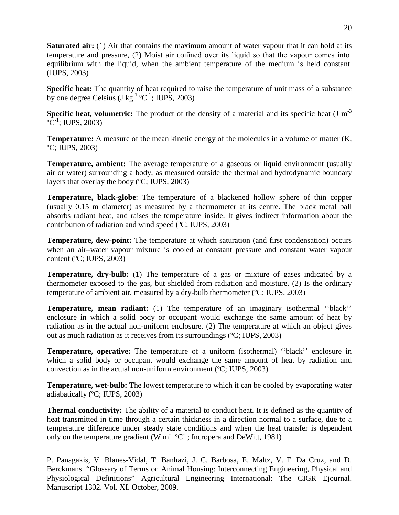**Saturated air:** (1) Air that contains the maximum amount of water vapour that it can hold at its temperature and pressure, (2) Moist air confined over its liquid so that the vapour comes into equilibrium with the liquid, when the ambient temperature of the medium is held constant. (IUPS, 2003)

**Specific heat:** The quantity of heat required to raise the temperature of unit mass of a substance by one degree Celsius (J kg<sup>-1</sup> °C<sup>-1</sup>; IUPS, 2003)

**Specific heat, volumetric:** The product of the density of a material and its specific heat (J  $m^{-3}$ )  $^{\circ}C^{-1}$ ; IUPS, 2003)

**Temperature:** A measure of the mean kinetic energy of the molecules in a volume of matter (K, ºC; IUPS, 2003)

**Temperature, ambient:** The average temperature of a gaseous or liquid environment (usually air or water) surrounding a body, as measured outside the thermal and hydrodynamic boundary layers that overlay the body (ºC; IUPS, 2003)

**Temperature, black-globe**: The temperature of a blackened hollow sphere of thin copper (usually 0.15 m diameter) as measured by a thermometer at its centre. The black metal ball absorbs radiant heat, and raises the temperature inside. It gives indirect information about the contribution of radiation and wind speed (ºC; IUPS, 2003)

**Temperature, dew-point:** The temperature at which saturation (and first condensation) occurs when an air–water vapour mixture is cooled at constant pressure and constant water vapour content (ºC; IUPS, 2003)

**Temperature, dry-bulb:** (1) The temperature of a gas or mixture of gases indicated by a thermometer exposed to the gas, but shielded from radiation and moisture. (2) Is the ordinary temperature of ambient air, measured by a dry-bulb thermometer (ºC; IUPS, 2003)

**Temperature, mean radiant:** (1) The temperature of an imaginary isothermal ''black'' enclosure in which a solid body or occupant would exchange the same amount of heat by radiation as in the actual non-uniform enclosure. (2) The temperature at which an object gives out as much radiation as it receives from its surroundings (ºC; IUPS, 2003)

**Temperature, operative:** The temperature of a uniform (isothermal) ''black'' enclosure in which a solid body or occupant would exchange the same amount of heat by radiation and convection as in the actual non-uniform environment (ºC; IUPS, 2003)

**Temperature, wet-bulb:** The lowest temperature to which it can be cooled by evaporating water adiabatically (ºC; IUPS, 2003)

**Thermal conductivity:** The ability of a material to conduct heat. It is defined as the quantity of heat transmitted in time through a certain thickness in a direction normal to a surface, due to a temperature difference under steady state conditions and when the heat transfer is dependent only on the temperature gradient (W  $m^{-1}$  °C<sup>-1</sup>; Incropera and DeWitt, 1981)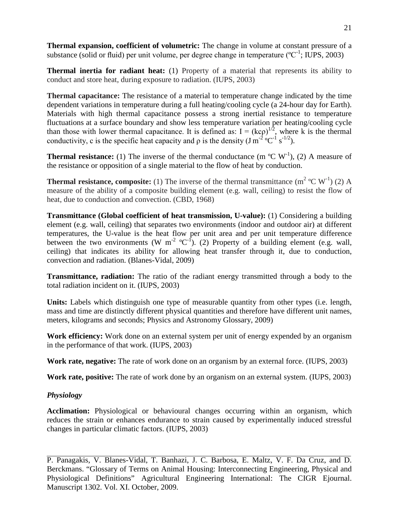**Thermal expansion, coefficient of volumetric:** The change in volume at constant pressure of a substance (solid or fluid) per unit volume, per degree change in temperature ( $\rm{°C}^{-1}$ ; IUPS, 2003)

**Thermal inertia for radiant heat:** (1) Property of a material that represents its ability to conduct and store heat, during exposure to radiation. (IUPS, 2003)

**Thermal capacitance:** The resistance of a material to temperature change indicated by the time dependent variations in temperature during a full heating/cooling cycle (a 24-hour day for Earth). Materials with high thermal capacitance possess a strong inertial resistance to temperature fluctuations at a surface boundary and show less temperature variation per heating/cooling cycle than those with lower thermal capacitance. It is defined as:  $I = (kcp)^{1/2}$ , where k is the thermal conductivity, c is the specific heat capacity and  $\rho$  is the density (J m<sup>-2</sup> °C<sup>-1</sup> s<sup>-1/2</sup>).

**Thermal resistance:** (1) The inverse of the thermal conductance (m  $^{\circ}$ C W<sup>-1</sup>), (2) A measure of the resistance or opposition of a single material to the flow of heat by conduction.

**Thermal resistance, composite:** (1) The inverse of the thermal transmittance  $(m^2 \text{ }^{\circ}C \text{ } W^{\text{-}1})$  (2) A measure of the ability of a composite building element (e.g. wall, ceiling) to resist the flow of heat, due to conduction and convection. (CBD, 1968)

**Transmittance (Global coefficient of heat transmission, U-value):** (1) Considering a building element (e.g. wall, ceiling) that separates two environments (indoor and outdoor air) at different temperatures, the U-value is the heat flow per unit area and per unit temperature difference between the two environments (W  $m^{-2}$  °C<sup>-1</sup>). (2) Property of a building element (e.g. wall, ceiling) that indicates its ability for allowing heat transfer through it, due to conduction, convection and radiation. (Blanes-Vidal, 2009)

**Transmittance, radiation:** The ratio of the radiant energy transmitted through a body to the total radiation incident on it. (IUPS, 2003)

**Units:** Labels which distinguish one type of measurable quantity from other types (i.e. length, mass and time are distinctly different physical quantities and therefore have different unit names, meters, kilograms and seconds; Physics and Astronomy Glossary, 2009)

**Work efficiency:** Work done on an external system per unit of energy expended by an organism in the performance of that work. (IUPS, 2003)

**Work rate, negative:** The rate of work done on an organism by an external force. (IUPS, 2003)

**Work rate, positive:** The rate of work done by an organism on an external system. (IUPS, 2003)

## *Physiology*

**Acclimation:** Physiological or behavioural changes occurring within an organism, which reduces the strain or enhances endurance to strain caused by experimentally induced stressful changes in particular climatic factors. (IUPS, 2003)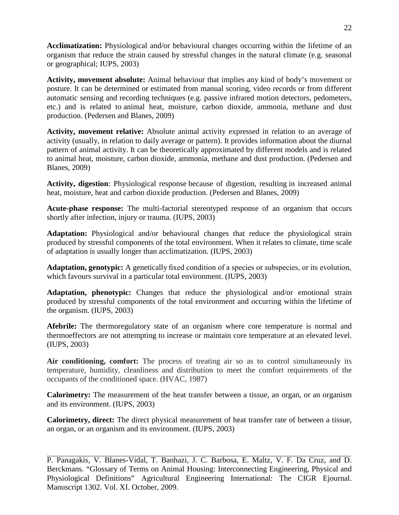**Acclimatization:** Physiological and/or behavioural changes occurring within the lifetime of an organism that reduce the strain caused by stressful changes in the natural climate (e.g. seasonal or geographical; IUPS, 2003)

**Activity, movement absolute:** Animal behaviour that implies any kind of body's movement or posture. It can be determined or estimated from manual scoring, video records or from different automatic sensing and recording techniques (e.g. passive infrared motion detectors, pedometers, etc.) and is related to animal heat, moisture, carbon dioxide, ammonia, methane and dust production. (Pedersen and Blanes, 2009)

**Activity, movement relative:** Absolute animal activity expressed in relation to an average of activity (usually, in relation to daily average or pattern). It provides information about the diurnal pattern of animal activity. It can be theoretically approximated by different models and is related to animal heat, moisture, carbon dioxide, ammonia, methane and dust production. (Pedersen and Blanes, 2009)

**Activity, digestion**: Physiological response because of digestion, resulting in increased animal heat, moisture, heat and carbon dioxide production. (Pedersen and Blanes, 2009)

**Acute-phase response:** The multi-factorial stereotyped response of an organism that occurs shortly after infection, injury or trauma. (IUPS, 2003)

**Adaptation:** Physiological and/or behavioural changes that reduce the physiological strain produced by stressful components of the total environment. When it relates to climate, time scale of adaptation is usually longer than acclimatization. (IUPS, 2003)

**Adaptation, genotypic:** A genetically fixed condition of a species or subspecies, or its evolution, which favours survival in a particular total environment. (IUPS, 2003)

**Adaptation, phenotypic:** Changes that reduce the physiological and/or emotional strain produced by stressful components of the total environment and occurring within the lifetime of the organism. (IUPS, 2003)

**Afebrile:** The thermoregulatory state of an organism where core temperature is normal and thermoeffectors are not attempting to increase or maintain core temperature at an elevated level. (IUPS, 2003)

Air conditioning, comfort: The process of treating air so as to control simultaneously its temperature, humidity, cleanliness and distribution to meet the comfort requirements of the occupants of the conditioned space. (HVAC, 1987)

**Calorimetry:** The measurement of the heat transfer between a tissue, an organ, or an organism and its environment. (IUPS, 2003)

**Calorimetry, direct:** The direct physical measurement of heat transfer rate of between a tissue, an organ, or an organism and its environment. (IUPS, 2003)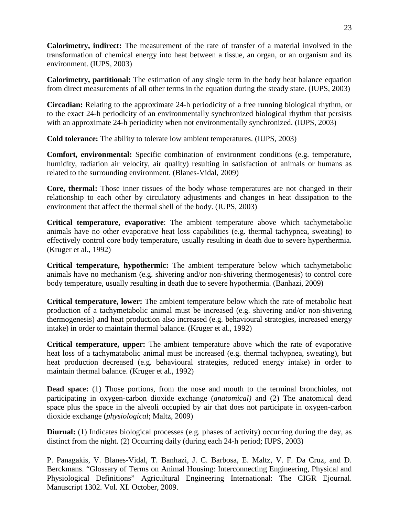**Calorimetry, indirect:** The measurement of the rate of transfer of a material involved in the transformation of chemical energy into heat between a tissue, an organ, or an organism and its environment. (IUPS, 2003)

**Calorimetry, partitional:** The estimation of any single term in the body heat balance equation from direct measurements of all other terms in the equation during the steady state. (IUPS, 2003)

**Circadian:** Relating to the approximate 24-h periodicity of a free running biological rhythm, or to the exact 24-h periodicity of an environmentally synchronized biological rhythm that persists with an approximate 24-h periodicity when not environmentally synchronized. (IUPS, 2003)

**Cold tolerance:** The ability to tolerate low ambient temperatures. (IUPS, 2003)

**Comfort, environmental:** Specific combination of environment conditions (e.g. temperature, humidity, radiation air velocity, air quality) resulting in satisfaction of animals or humans as related to the surrounding environment. (Blanes-Vidal, 2009)

**Core, thermal:** Those inner tissues of the body whose temperatures are not changed in their relationship to each other by circulatory adjustments and changes in heat dissipation to the environment that affect the thermal shell of the body. (IUPS, 2003)

**Critical temperature, evaporative**: The ambient temperature above which tachymetabolic animals have no other evaporative heat loss capabilities (e.g. thermal tachypnea, sweating) to effectively control core body temperature, usually resulting in death due to severe hyperthermia. (Kruger et al., 1992)

**Critical temperature, hypothermic:** The ambient temperature below which tachymetabolic animals have no mechanism (e.g. shivering and/or non-shivering thermogenesis) to control core body temperature, usually resulting in death due to severe hypothermia. (Banhazi, 2009)

**Critical temperature, lower:** The ambient temperature below which the rate of metabolic heat production of a tachymetabolic animal must be increased (e.g. shivering and/or non-shivering thermogenesis) and heat production also increased (e.g. behavioural strategies, increased energy intake) in order to maintain thermal balance. (Kruger et al., 1992)

**Critical temperature, upper:** The ambient temperature above which the rate of evaporative heat loss of a tachymatabolic animal must be increased (e.g. thermal tachypnea, sweating), but heat production decreased (e.g. behavioural strategies, reduced energy intake) in order to maintain thermal balance. (Kruger et al., 1992)

Dead space: (1) Those portions, from the nose and mouth to the terminal bronchioles, not participating in oxygen-carbon dioxide exchange (*anatomical)* and (2) The anatomical dead space plus the space in the alveoli occupied by air that does not participate in oxygen-carbon dioxide exchange (*physiological*; Maltz, 2009)

**Diurnal:** (1) Indicates biological processes (e.g. phases of activity) occurring during the day, as distinct from the night. (2) Occurring daily (during each 24-h period; IUPS, 2003)

P. Panagakis, V. Blanes-Vidal, T. Banhazi, J. C. Barbosa, E. Maltz, V. F. Da Cruz, and D. Berckmans. "Glossary of Terms on Animal Housing: Interconnecting Engineering, Physical and Physiological Definitions" Agricultural Engineering International: The CIGR Ejournal. Manuscript 1302. Vol. XI. October, 2009.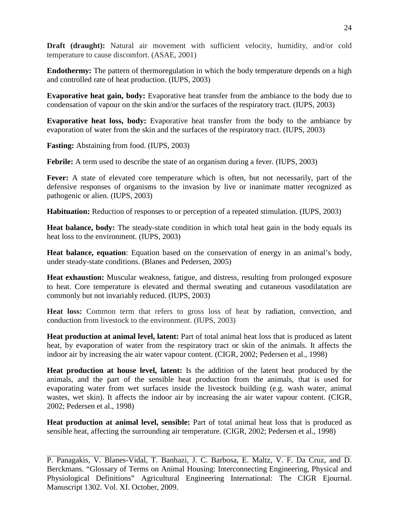**Draft (draught):** Natural air movement with sufficient velocity, humidity, and/or cold temperature to cause discomfort. (ASAE, 2001)

**Endothermy:** The pattern of thermoregulation in which the body temperature depends on a high and controlled rate of heat production. (IUPS, 2003)

**Evaporative heat gain, body:** Evaporative heat transfer from the ambiance to the body due to condensation of vapour on the skin and/or the surfaces of the respiratory tract. (IUPS, 2003)

**Evaporative heat loss, body:** Evaporative heat transfer from the body to the ambiance by evaporation of water from the skin and the surfaces of the respiratory tract. (IUPS, 2003)

**Fasting:** Abstaining from food. (IUPS, 2003)

**Febrile:** A term used to describe the state of an organism during a fever. (IUPS, 2003)

**Fever:** A state of elevated core temperature which is often, but not necessarily, part of the defensive responses of organisms to the invasion by live or inanimate matter recognized as pathogenic or alien. (IUPS, 2003)

**Habituation:** Reduction of responses to or perception of a repeated stimulation. (IUPS, 2003)

**Heat balance, body:** The steady-state condition in which total heat gain in the body equals its heat loss to the environment. (IUPS, 2003)

**Heat balance, equation**: Equation based on the conservation of energy in an animal's body, under steady-state conditions. (Blanes and Pedersen, 2005)

**Heat exhaustion:** Muscular weakness, fatigue, and distress, resulting from prolonged exposure to heat. Core temperature is elevated and thermal sweating and cutaneous vasodilatation are commonly but not invariably reduced. (IUPS, 2003)

**Heat loss:** Common term that refers to gross loss of heat by radiation, convection, and conduction from livestock to the environment. (IUPS, 2003)

**Heat production at animal level, latent:** Part of total animal heat loss that is produced as latent heat, by evaporation of water from the respiratory tract or skin of the animals. It affects the indoor air by increasing the air water vapour content. (CIGR, 2002; Pedersen et al., 1998)

**Heat production at house level, latent:** Is the addition of the latent heat produced by the animals, and the part of the sensible heat production from the animals, that is used for evaporating water from wet surfaces inside the livestock building (e.g. wash water, animal wastes, wet skin). It affects the indoor air by increasing the air water vapour content. (CIGR, 2002; Pedersen et al., 1998)

**Heat production at animal level, sensible:** Part of total animal heat loss that is produced as sensible heat, affecting the surrounding air temperature. (CIGR, 2002; Pedersen et al., 1998)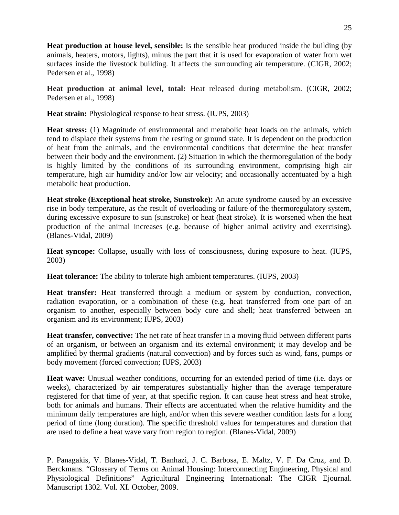**Heat production at house level, sensible:** Is the sensible heat produced inside the building (by animals, heaters, motors, lights), minus the part that it is used for evaporation of water from wet surfaces inside the livestock building. It affects the surrounding air temperature. (CIGR, 2002; Pedersen et al., 1998)

**Heat production at animal level, total:** Heat released during metabolism. (CIGR, 2002; Pedersen et al., 1998)

**Heat strain:** Physiological response to heat stress. (IUPS, 2003)

**Heat stress:** (1) Magnitude of environmental and metabolic heat loads on the animals, which tend to displace their systems from the resting or ground state. It is dependent on the production of heat from the animals, and the environmental conditions that determine the heat transfer between their body and the environment. (2) Situation in which the thermoregulation of the body is highly limited by the conditions of its surrounding environment, comprising high air temperature, high air humidity and/or low air velocity; and occasionally accentuated by a high metabolic heat production.

**Heat stroke (Exceptional heat stroke, Sunstroke):** An acute syndrome caused by an excessive rise in body temperature, as the result of overloading or failure of the thermoregulatory system, during excessive exposure to sun (sunstroke) or heat (heat stroke). It is worsened when the heat production of the animal increases (e.g. because of higher animal activity and exercising). (Blanes-Vidal, 2009)

**Heat syncope:** Collapse, usually with loss of consciousness, during exposure to heat. (IUPS, 2003)

**Heat tolerance:** The ability to tolerate high ambient temperatures. (IUPS, 2003)

**Heat transfer:** Heat transferred through a medium or system by conduction, convection, radiation evaporation, or a combination of these (e.g. heat transferred from one part of an organism to another, especially between body core and shell; heat transferred between an organism and its environment; IUPS, 2003)

**Heat transfer, convective:** The net rate of heat transfer in a moving fluid between different parts of an organism, or between an organism and its external environment; it may develop and be amplified by thermal gradients (natural convection) and by forces such as wind, fans, pumps or body movement (forced convection; IUPS, 2003)

**Heat wave:** Unusual weather conditions, occurring for an extended period of time (i.e. days or weeks), characterized by air temperatures substantially higher than the average temperature registered for that time of year, at that specific region. It can cause heat stress and heat stroke, both for animals and humans. Their effects are accentuated when the relative humidity and the minimum daily temperatures are high, and/or when this severe weather condition lasts for a long period of time (long duration). The specific threshold values for temperatures and duration that are used to define a heat wave vary from region to region. (Blanes-Vidal, 2009)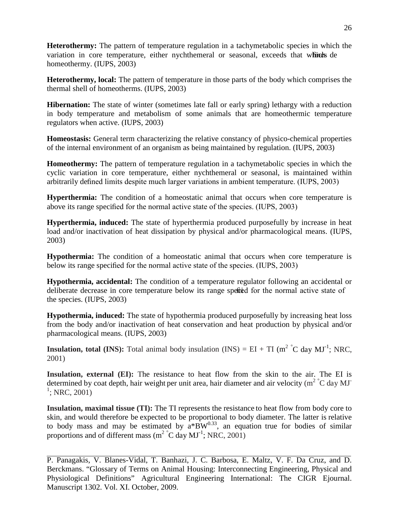**Heterothermy:** The pattern of temperature regulation in a tachymetabolic species in which the variation in core temperature, either nychthemeral or seasonal, exceeds that which de homeothermy. (IUPS, 2003)

**Heterothermy, local:** The pattern of temperature in those parts of the body which comprises the thermal shell of homeotherms. (IUPS, 2003)

**Hibernation:** The state of winter (sometimes late fall or early spring) lethargy with a reduction in body temperature and metabolism of some animals that are homeothermic temperature regulators when active. (IUPS, 2003)

**Homeostasis:** General term characterizing the relative constancy of physico-chemical properties of the internal environment of an organism as being maintained by regulation. (IUPS, 2003)

**Homeothermy:** The pattern of temperature regulation in a tachymetabolic species in which the cyclic variation in core temperature, either nychthemeral or seasonal, is maintained within arbitrarily defined limits despite much larger variations in ambient temperature. (IUPS, 2003)

**Hyperthermia:** The condition of a homeostatic animal that occurs when core temperature is above its range specified for the normal active state of the species. (IUPS, 2003)

**Hyperthermia, induced:** The state of hyperthermia produced purposefully by increase in heat load and/or inactivation of heat dissipation by physical and/or pharmacological means. (IUPS, 2003)

**Hypothermia:** The condition of a homeostatic animal that occurs when core temperature is below its range specified for the normal active state of the species. (IUPS, 2003)

**Hypothermia, accidental:** The condition of a temperature regulator following an accidental or deliberate decrease in core temperature below its range specied for the normal active state of the species. (IUPS, 2003)

**Hypothermia, induced:** The state of hypothermia produced purposefully by increasing heat loss from the body and/or inactivation of heat conservation and heat production by physical and/or pharmacological means. (IUPS, 2003)

**Insulation, total (INS):** Total animal body insulation (INS) =  $EI + TI$  ( $m^2$ <sup>°</sup>C day MJ<sup>-1</sup>; NRC, 2001)

**Insulation, external (EI):** The resistance to heat flow from the skin to the air. The EI is determined by coat depth, hair weight per unit area, hair diameter and air velocity (m<sup>2</sup>  $\degree$ C day MJ $\degree$  $1$ ; NRC, 2001)

**Insulation, maximal tissue (TI):** The TI represents the resistance to heat flow from body core to skin, and would therefore be expected to be proportional to body diameter. The latter is relative to body mass and may be estimated by  $a^*B W^{0.33}$ , an equation true for bodies of similar proportions and of different mass (m<sup>2</sup> °C day  $MI<sup>-1</sup>$ ; NRC, 2001)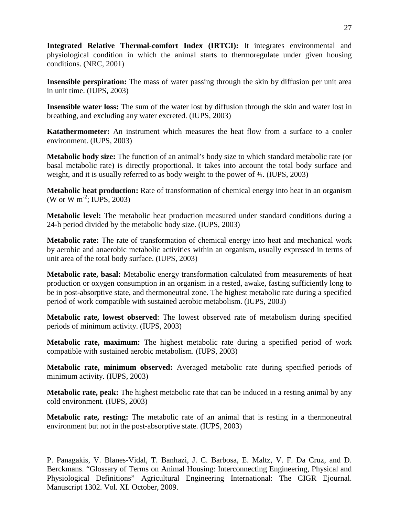**Integrated Relative Thermal**-**comfort Index (IRTCI):** It integrates environmental and physiological condition in which the animal starts to thermoregulate under given housing conditions. (NRC, 2001)

**Insensible perspiration:** The mass of water passing through the skin by diffusion per unit area in unit time. (IUPS, 2003)

**Insensible water loss:** The sum of the water lost by diffusion through the skin and water lost in breathing, and excluding any water excreted. (IUPS, 2003)

**Katathermometer:** An instrument which measures the heat flow from a surface to a cooler environment. (IUPS, 2003)

**Metabolic body size:** The function of an animal's body size to which standard metabolic rate (or basal metabolic rate) is directly proportional. It takes into account the total body surface and weight, and it is usually referred to as body weight to the power of ¾. (IUPS, 2003)

**Metabolic heat production:** Rate of transformation of chemical energy into heat in an organism (W or W m<sup>-2</sup>; IUPS, 2003)

**Metabolic level:** The metabolic heat production measured under standard conditions during a 24-h period divided by the metabolic body size. (IUPS, 2003)

**Metabolic rate:** The rate of transformation of chemical energy into heat and mechanical work by aerobic and anaerobic metabolic activities within an organism, usually expressed in terms of unit area of the total body surface. (IUPS, 2003)

**Metabolic rate, basal:** Metabolic energy transformation calculated from measurements of heat production or oxygen consumption in an organism in a rested, awake, fasting sufficiently long to be in post-absorptive state, and thermoneutral zone. The highest metabolic rate during a specified period of work compatible with sustained aerobic metabolism. (IUPS, 2003)

**Metabolic rate, lowest observed**: The lowest observed rate of metabolism during specified periods of minimum activity. (IUPS, 2003)

**Metabolic rate, maximum:** The highest metabolic rate during a specified period of work compatible with sustained aerobic metabolism. (IUPS, 2003)

**Metabolic rate, minimum observed:** Averaged metabolic rate during specified periods of minimum activity. (IUPS, 2003)

**Metabolic rate, peak:** The highest metabolic rate that can be induced in a resting animal by any cold environment. (IUPS, 2003)

**Metabolic rate, resting:** The metabolic rate of an animal that is resting in a thermoneutral environment but not in the post-absorptive state. (IUPS, 2003)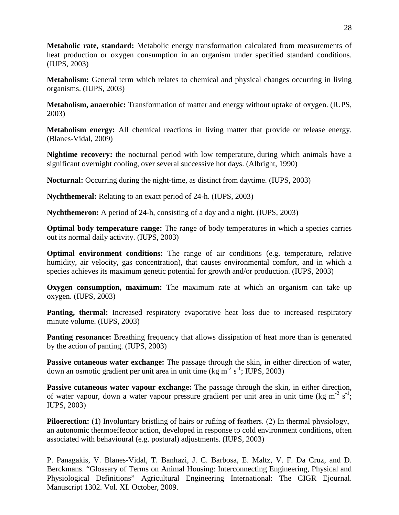**Metabolic rate, standard:** Metabolic energy transformation calculated from measurements of heat production or oxygen consumption in an organism under specified standard conditions. (IUPS, 2003)

**Metabolism:** General term which relates to chemical and physical changes occurring in living organisms. (IUPS, 2003)

**Metabolism, anaerobic:** Transformation of matter and energy without uptake of oxygen. (IUPS, 2003)

**Metabolism energy:** All chemical reactions in living matter that provide or release energy. (Blanes-Vidal, 2009)

**Nightime recovery:** the nocturnal period with low temperature, during which animals have a significant overnight cooling, over several successive hot days. (Albright, 1990)

**Nocturnal:** Occurring during the night-time, as distinct from daytime. (IUPS, 2003)

**Nychthemeral:** Relating to an exact period of 24-h. (IUPS, 2003)

**Nychthemeron:** A period of 24-h, consisting of a day and a night. (IUPS, 2003)

**Optimal body temperature range:** The range of body temperatures in which a species carries out its normal daily activity. (IUPS, 2003)

**Optimal environment conditions:** The range of air conditions (e.g. temperature, relative humidity, air velocity, gas concentration), that causes environmental comfort, and in which a species achieves its maximum genetic potential for growth and/or production. (IUPS, 2003)

**Oxygen consumption, maximum:** The maximum rate at which an organism can take up oxygen. (IUPS, 2003)

**Panting, thermal:** Increased respiratory evaporative heat loss due to increased respiratory minute volume. (IUPS, 2003)

**Panting resonance:** Breathing frequency that allows dissipation of heat more than is generated by the action of panting. (IUPS, 2003)

**Passive cutaneous water exchange:** The passage through the skin, in either direction of water, down an osmotic gradient per unit area in unit time (kg m<sup>-2</sup> s<sup>-1</sup>; IUPS, 2003)

**Passive cutaneous water vapour exchange:** The passage through the skin, in either direction, of water vapour, down a water vapour pressure gradient per unit area in unit time (kg m<sup>-2</sup> s<sup>-1</sup>; IUPS, 2003)

**Piloerection:** (1) Involuntary bristling of hairs or rufling of feathers. (2) In thermal physiology, an autonomic thermoeffector action, developed in response to cold environment conditions, often associated with behavioural (e.g. postural) adjustments. (IUPS, 2003)

P. Panagakis, V. Blanes-Vidal, T. Banhazi, J. C. Barbosa, E. Maltz, V. F. Da Cruz, and D. Berckmans. "Glossary of Terms on Animal Housing: Interconnecting Engineering, Physical and Physiological Definitions" Agricultural Engineering International: The CIGR Ejournal. Manuscript 1302. Vol. XI. October, 2009.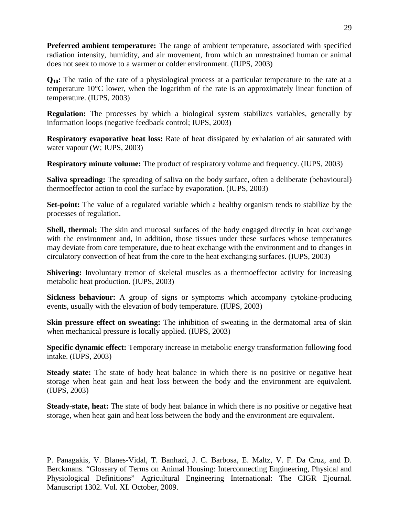**Preferred ambient temperature:** The range of ambient temperature, associated with specified radiation intensity, humidity, and air movement, from which an unrestrained human or animal does not seek to move to a warmer or colder environment. (IUPS, 2003)

**Q10:** The ratio of the rate of a physiological process at a particular temperature to the rate at a temperature 10°C lower, when the logarithm of the rate is an approximately linear function of temperature. (IUPS, 2003)

**Regulation:** The processes by which a biological system stabilizes variables, generally by information loops (negative feedback control; IUPS, 2003)

**Respiratory evaporative heat loss:** Rate of heat dissipated by exhalation of air saturated with water vapour (W; IUPS, 2003)

**Respiratory minute volume:** The product of respiratory volume and frequency. (IUPS, 2003)

**Saliva spreading:** The spreading of saliva on the body surface, often a deliberate (behavioural) thermoeffector action to cool the surface by evaporation. (IUPS, 2003)

**Set-point:** The value of a regulated variable which a healthy organism tends to stabilize by the processes of regulation.

**Shell, thermal:** The skin and mucosal surfaces of the body engaged directly in heat exchange with the environment and, in addition, those tissues under these surfaces whose temperatures may deviate from core temperature, due to heat exchange with the environment and to changes in circulatory convection of heat from the core to the heat exchanging surfaces. (IUPS, 2003)

**Shivering:** Involuntary tremor of skeletal muscles as a thermoeffector activity for increasing metabolic heat production. (IUPS, 2003)

**Sickness behaviour:** A group of signs or symptoms which accompany cytokine-producing events, usually with the elevation of body temperature. (IUPS, 2003)

**Skin pressure effect on sweating:** The inhibition of sweating in the dermatomal area of skin when mechanical pressure is locally applied. (IUPS, 2003)

**Specific dynamic effect:** Temporary increase in metabolic energy transformation following food intake. (IUPS, 2003)

**Steady state:** The state of body heat balance in which there is no positive or negative heat storage when heat gain and heat loss between the body and the environment are equivalent. (IUPS, 2003)

**Steady-state, heat:** The state of body heat balance in which there is no positive or negative heat storage, when heat gain and heat loss between the body and the environment are equivalent.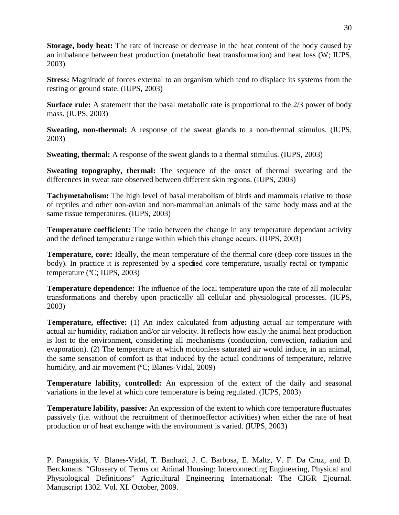**Storage, body heat:** The rate of increase or decrease in the heat content of the body caused by an imbalance between heat production (metabolic heat transformation) and heat loss (W; IUPS, 2003)

**Stress:** Magnitude of forces external to an organism which tend to displace its systems from the resting or ground state. (IUPS, 2003)

**Surface rule:** A statement that the basal metabolic rate is proportional to the 2/3 power of body mass. (IUPS, 2003)

**Sweating, non-thermal:** A response of the sweat glands to a non-thermal stimulus. (IUPS, 2003)

**Sweating, thermal:** A response of the sweat glands to a thermal stimulus. (IUPS, 2003)

**Sweating topography, thermal:** The sequence of the onset of thermal sweating and the differences in sweat rate observed between different skin regions. (IUPS, 2003)

**Tachymetabolism:** The high level of basal metabolism of birds and mammals relative to those of reptiles and other non-avian and non-mammalian animals of the same body mass and at the same tissue temperatures. (IUPS, 2003)

**Temperature coefficient:** The ratio between the change in any temperature dependant activity and the defined temperature range within which this change occurs. (IUPS, 2003)

**Temperature, core:** Ideally, the mean temperature of the thermal core (deep core tissues in the body). In practice it is represented by a specified core temperature, usually rectal or tympanic temperature (ºC; IUPS, 2003)

**Temperature dependence:** The influence of the local temperature upon the rate of all molecular transformations and thereby upon practically all cellular and physiological processes. (IUPS, 2003)

**Temperature, effective:** (1) An index calculated from adjusting actual air temperature with actual air humidity, radiation and/or air velocity. It reflects how easily the animal heat production is lost to the environment, considering all mechanisms (conduction, convection, radiation and evaporation). (2) The [temperature](http://amsglossary.allenpress.com/glossary/search?id=temperature1) at which motionless saturated air would induce, in an animal, the same sensation of comfort as that induced by the actual conditions of temperature, relative [humidity,](http://amsglossary.allenpress.com/glossary/search?id=humidity1) and air movement (°C; Blanes-Vidal, 2009)

**Temperature lability, controlled:** An expression of the extent of the daily and seasonal variations in the level at which core temperature is being regulated. (IUPS, 2003)

**Temperature lability, passive:** An expression of the extent to which core temperature fluctuates passively (i.e. without the recruitment of thermoeffector activities) when either the rate of heat production or of heat exchange with the environment is varied. (IUPS, 2003)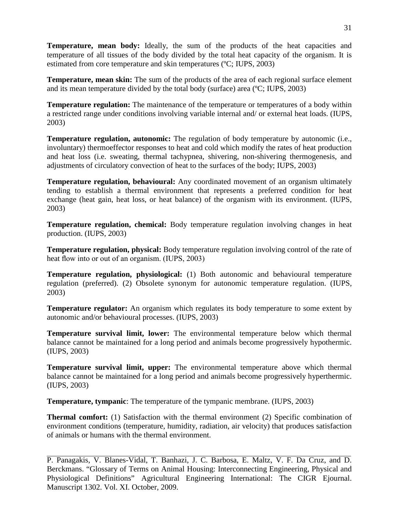**Temperature, mean body:** Ideally, the sum of the products of the heat capacities and temperature of all tissues of the body divided by the total heat capacity of the organism. It is estimated from core temperature and skin temperatures (ºC; IUPS, 2003)

**Temperature, mean skin:** The sum of the products of the area of each regional surface element and its mean temperature divided by the total body (surface) area (ºC; IUPS, 2003)

**Temperature regulation:** The maintenance of the temperature or temperatures of a body within a restricted range under conditions involving variable internal and/ or external heat loads. (IUPS, 2003)

**Temperature regulation, autonomic:** The regulation of body temperature by autonomic (i.e., involuntary) thermoeffector responses to heat and cold which modify the rates of heat production and heat loss (i.e. sweating, thermal tachypnea, shivering, non-shivering thermogenesis, and adjustments of circulatory convection of heat to the surfaces of the body; IUPS, 2003)

**Temperature regulation, behavioural:** Any coordinated movement of an organism ultimately tending to establish a thermal environment that represents a preferred condition for heat exchange (heat gain, heat loss, or heat balance) of the organism with its environment. (IUPS, 2003)

**Temperature regulation, chemical:** Body temperature regulation involving changes in heat production. (IUPS, 2003)

**Temperature regulation, physical:** Body temperature regulation involving control of the rate of heat flow into or out of an organism. (IUPS, 2003)

**Temperature regulation, physiological:** (1) Both autonomic and behavioural temperature regulation (preferred). (2) Obsolete synonym for autonomic temperature regulation. (IUPS, 2003)

**Temperature regulator:** An organism which regulates its body temperature to some extent by autonomic and/or behavioural processes. (IUPS, 2003)

**Temperature survival limit, lower:** The environmental temperature below which thermal balance cannot be maintained for a long period and animals become progressively hypothermic. (IUPS, 2003)

**Temperature survival limit, upper:** The environmental temperature above which thermal balance cannot be maintained for a long period and animals become progressively hyperthermic. (IUPS, 2003)

**Temperature, tympanic**: The temperature of the tympanic membrane. (IUPS, 2003)

**Thermal comfort:** (1) Satisfaction with the thermal environment (2) Specific combination of environment conditions (temperature, humidity, radiation, air velocity) that produces satisfaction of animals or humans with the thermal environment.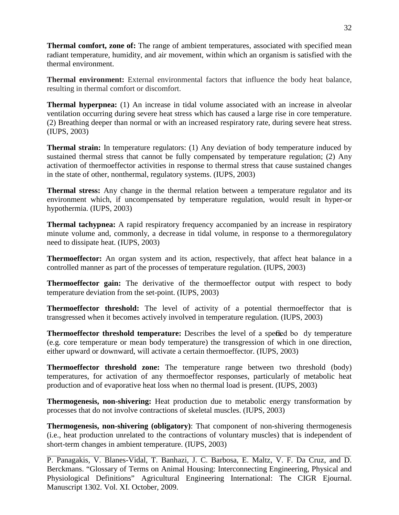**Thermal comfort, zone of:** The range of ambient temperatures, associated with specified mean radiant temperature, humidity, and air movement, within which an organism is satisfied with the thermal environment.

**Thermal environment:** External environmental factors that influence the body heat balance, resulting in thermal comfort or discomfort.

**Thermal hyperpnea:** (1) An increase in tidal volume associated with an increase in alveolar ventilation occurring during severe heat stress which has caused a large rise in core temperature. (2) Breathing deeper than normal or with an increased respiratory rate, during severe heat stress. (IUPS, 2003)

**Thermal strain:** In temperature regulators: (1) Any deviation of body temperature induced by sustained thermal stress that cannot be fully compensated by temperature regulation; (2) Any activation of thermoeffector activities in response to thermal stress that cause sustained changes in the state of other, nonthermal, regulatory systems. (IUPS, 2003)

**Thermal stress:** Any change in the thermal relation between a temperature regulator and its environment which, if uncompensated by temperature regulation, would result in hyper-or hypothermia. (IUPS, 2003)

**Thermal tachypnea:** A rapid respiratory frequency accompanied by an increase in respiratory minute volume and, commonly, a decrease in tidal volume, in response to a thermoregulatory need to dissipate heat. (IUPS, 2003)

**Thermoeffector:** An organ system and its action, respectively, that affect heat balance in a controlled manner as part of the processes of temperature regulation. (IUPS, 2003)

**Thermoeffector gain:** The derivative of the thermoeffector output with respect to body temperature deviation from the set-point. (IUPS, 2003)

**Thermoeffector threshold:** The level of activity of a potential thermoeffector that is transgressed when it becomes actively involved in temperature regulation. (IUPS, 2003)

**Thermoeffector threshold temperature:** Describes the level of a specied bo dy temperature (e.g. core temperature or mean body temperature) the transgression of which in one direction, either upward or downward, will activate a certain thermoeffector. (IUPS, 2003)

**Thermoeffector threshold zone:** The temperature range between two threshold (body) temperatures, for activation of any thermoeffector responses, particularly of metabolic heat production and of evaporative heat loss when no thermal load is present. (IUPS, 2003)

**Thermogenesis, non-shivering:** Heat production due to metabolic energy transformation by processes that do not involve contractions of skeletal muscles. (IUPS, 2003)

**Thermogenesis, non-shivering (obligatory)**: That component of non-shivering thermogenesis (i.e., heat production unrelated to the contractions of voluntary muscles) that is independent of short-term changes in ambient temperature. (IUPS, 2003)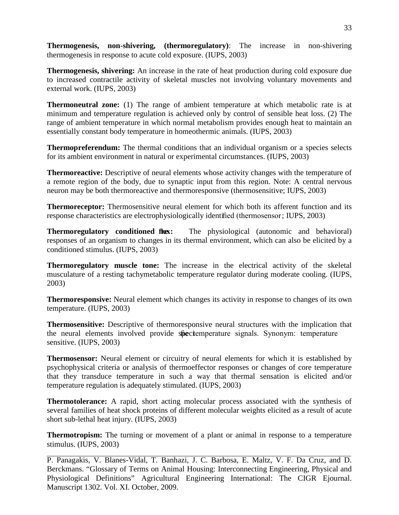**Thermogenesis, non-shivering, (thermoregulatory)**: The increase in non-shivering thermogenesis in response to acute cold exposure. (IUPS, 2003)

**Thermogenesis, shivering:** An increase in the rate of heat production during cold exposure due to increased contractile activity of skeletal muscles not involving voluntary movements and external work. (IUPS, 2003)

**Thermoneutral zone:** (1) The range of ambient temperature at which metabolic rate is at minimum and temperature regulation is achieved only by control of sensible heat loss. (2) The range of ambient temperature in which normal metabolism provides enough heat to maintain an essentially constant body temperature in homeothermic animals. (IUPS, 2003)

**Thermopreferendum:** The thermal conditions that an individual organism or a species selects for its ambient environment in natural or experimental circumstances. (IUPS, 2003)

**Thermoreactive:** Descriptive of neural elements whose activity changes with the temperature of a remote region of the body, due to synaptic input from this region. Note: A central nervous neuron may be both thermoreactive and thermoresponsive (thermosensitive; IUPS, 2003)

**Thermoreceptor:** Thermosensitive neural element for which both its afferent function and its response characteristics are electrophysiologically identified (thermosensor; IUPS, 2003)

**Thermoregulatory conditioned flux:** The physiological (autonomic and behavioral) responses of an organism to changes in its thermal environment, which can also be elicited by a conditioned stimulus. (IUPS, 2003)

**Thermoregulatory muscle tone:** The increase in the electrical activity of the skeletal musculature of a resting tachymetabolic temperature regulator during moderate cooling. (IUPS, 2003)

**Thermoresponsive:** Neural element which changes its activity in response to changes of its own temperature. (IUPS, 2003)

**Thermosensitive:** Descriptive of thermoresponsive neural structures with the implication that the neural elements involved provide speciemperature signals. Synonym: temperature sensitive. (IUPS, 2003)

**Thermosensor:** Neural element or circuitry of neural elements for which it is established by psychophysical criteria or analysis of thermoeffector responses or changes of core temperature that they transduce temperature in such a way that thermal sensation is elicited and/or temperature regulation is adequately stimulated. (IUPS, 2003)

**Thermotolerance:** A rapid, short acting molecular process associated with the synthesis of several families of heat shock proteins of different molecular weights elicited as a result of acute short sub-lethal heat injury. (IUPS, 2003)

**Thermotropism:** The turning or movement of a plant or animal in response to a temperature stimulus. (IUPS, 2003)

P. Panagakis, V. Blanes-Vidal, T. Banhazi, J. C. Barbosa, E. Maltz, V. F. Da Cruz, and D. Berckmans. "Glossary of Terms on Animal Housing: Interconnecting Engineering, Physical and Physiological Definitions" Agricultural Engineering International: The CIGR Ejournal. Manuscript 1302. Vol. XI. October, 2009.